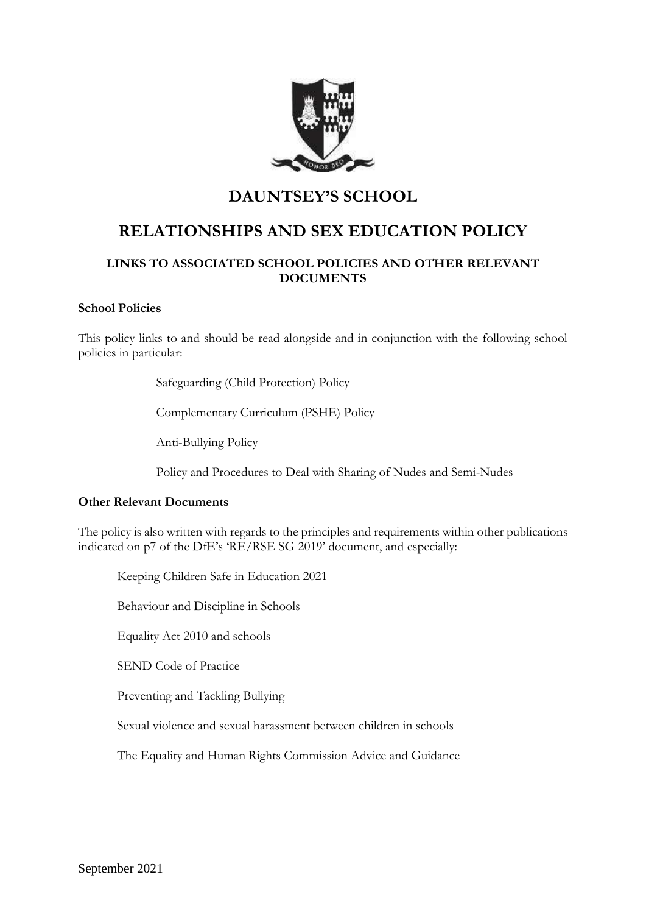

## **DAUNTSEY'S SCHOOL**

# **RELATIONSHIPS AND SEX EDUCATION POLICY**

## **LINKS TO ASSOCIATED SCHOOL POLICIES AND OTHER RELEVANT DOCUMENTS**

#### **School Policies**

This policy links to and should be read alongside and in conjunction with the following school policies in particular:

Safeguarding (Child Protection) Policy

Complementary Curriculum (PSHE) Policy

Anti-Bullying Policy

Policy and Procedures to Deal with Sharing of Nudes and Semi-Nudes

#### **Other Relevant Documents**

The policy is also written with regards to the principles and requirements within other publications indicated on p7 of the DfE's 'RE/RSE SG 2019' document, and especially:

Keeping Children Safe in Education 2021

Behaviour and Discipline in Schools

Equality Act 2010 and schools

SEND Code of Practice

Preventing and Tackling Bullying

Sexual violence and sexual harassment between children in schools

The Equality and Human Rights Commission Advice and Guidance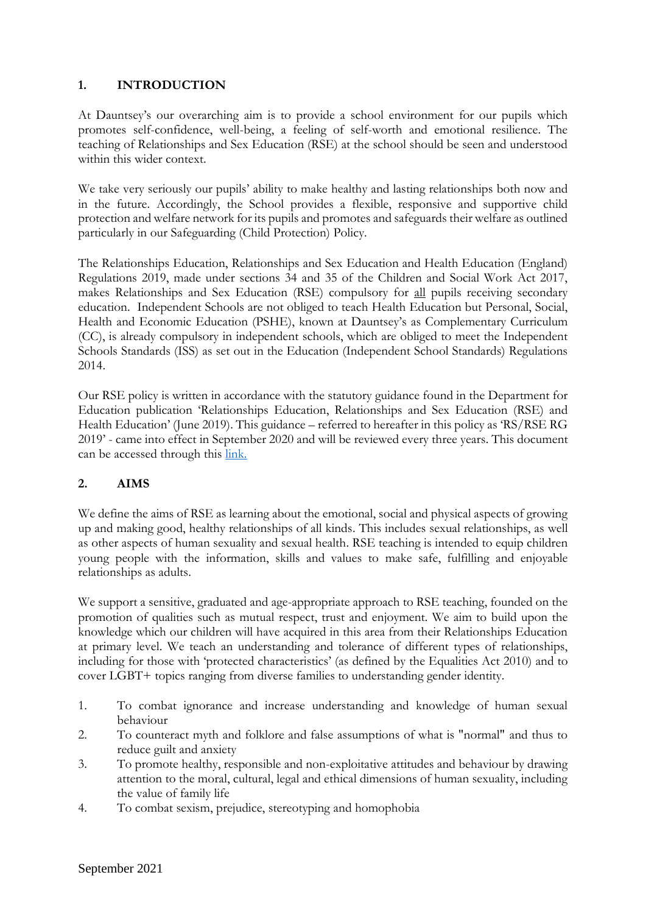#### **1. INTRODUCTION**

At Dauntsey's our overarching aim is to provide a school environment for our pupils which promotes self-confidence, well-being, a feeling of self-worth and emotional resilience. The teaching of Relationships and Sex Education (RSE) at the school should be seen and understood within this wider context.

We take very seriously our pupils' ability to make healthy and lasting relationships both now and in the future. Accordingly, the School provides a flexible, responsive and supportive child protection and welfare network for its pupils and promotes and safeguards their welfare as outlined particularly in our Safeguarding (Child Protection) Policy.

The Relationships Education, Relationships and Sex Education and Health Education (England) Regulations 2019, made under sections 34 and 35 of the Children and Social Work Act 2017, makes Relationships and Sex Education (RSE) compulsory for all pupils receiving secondary education. Independent Schools are not obliged to teach Health Education but Personal, Social, Health and Economic Education (PSHE), known at Dauntsey's as Complementary Curriculum (CC), is already compulsory in independent schools, which are obliged to meet the Independent Schools Standards (ISS) as set out in the Education (Independent School Standards) Regulations 2014.

Our RSE policy is written in accordance with the statutory guidance found in the Department for Education publication 'Relationships Education, Relationships and Sex Education (RSE) and Health Education' (June 2019). This guidance – referred to hereafter in this policy as 'RS/RSE RG 2019' - came into effect in September 2020 and will be reviewed every three years. This document can be accessed through this [link.](https://www.gov.uk/government/publications/relationships-education-relationships-and-sex-education-rse-and-health-education)

## **2. AIMS**

We define the aims of RSE as learning about the emotional, social and physical aspects of growing up and making good, healthy relationships of all kinds. This includes sexual relationships, as well as other aspects of human sexuality and sexual health. RSE teaching is intended to equip children young people with the information, skills and values to make safe, fulfilling and enjoyable relationships as adults.

We support a sensitive, graduated and age-appropriate approach to RSE teaching, founded on the promotion of qualities such as mutual respect, trust and enjoyment. We aim to build upon the knowledge which our children will have acquired in this area from their Relationships Education at primary level. We teach an understanding and tolerance of different types of relationships, including for those with 'protected characteristics' (as defined by the Equalities Act 2010) and to cover LGBT+ topics ranging from diverse families to understanding gender identity.

- 1. To combat ignorance and increase understanding and knowledge of human sexual behaviour
- 2. To counteract myth and folklore and false assumptions of what is "normal" and thus to reduce guilt and anxiety
- 3. To promote healthy, responsible and non-exploitative attitudes and behaviour by drawing attention to the moral, cultural, legal and ethical dimensions of human sexuality, including the value of family life
- 4. To combat sexism, prejudice, stereotyping and homophobia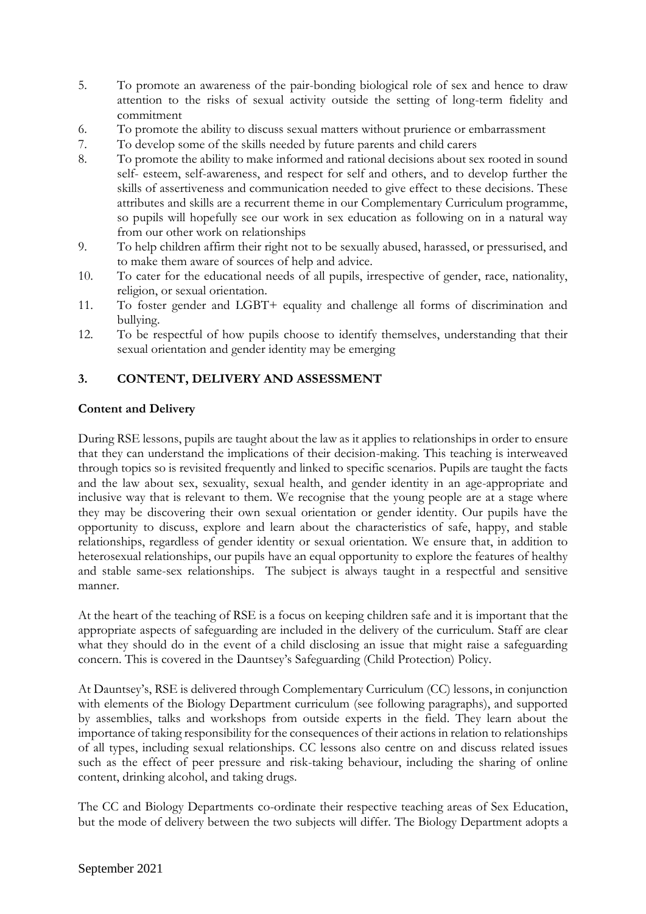- 5. To promote an awareness of the pair-bonding biological role of sex and hence to draw attention to the risks of sexual activity outside the setting of long-term fidelity and commitment
- 6. To promote the ability to discuss sexual matters without prurience or embarrassment
- 7. To develop some of the skills needed by future parents and child carers
- 8. To promote the ability to make informed and rational decisions about sex rooted in sound self- esteem, self-awareness, and respect for self and others, and to develop further the skills of assertiveness and communication needed to give effect to these decisions. These attributes and skills are a recurrent theme in our Complementary Curriculum programme, so pupils will hopefully see our work in sex education as following on in a natural way from our other work on relationships
- 9. To help children affirm their right not to be sexually abused, harassed, or pressurised, and to make them aware of sources of help and advice.
- 10. To cater for the educational needs of all pupils, irrespective of gender, race, nationality, religion, or sexual orientation.
- 11. To foster gender and LGBT+ equality and challenge all forms of discrimination and bullying.
- 12. To be respectful of how pupils choose to identify themselves, understanding that their sexual orientation and gender identity may be emerging

## **3. CONTENT, DELIVERY AND ASSESSMENT**

## **Content and Delivery**

During RSE lessons, pupils are taught about the law as it applies to relationships in order to ensure that they can understand the implications of their decision-making. This teaching is interweaved through topics so is revisited frequently and linked to specific scenarios. Pupils are taught the facts and the law about sex, sexuality, sexual health, and gender identity in an age-appropriate and inclusive way that is relevant to them. We recognise that the young people are at a stage where they may be discovering their own sexual orientation or gender identity. Our pupils have the opportunity to discuss, explore and learn about the characteristics of safe, happy, and stable relationships, regardless of gender identity or sexual orientation. We ensure that, in addition to heterosexual relationships, our pupils have an equal opportunity to explore the features of healthy and stable same-sex relationships. The subject is always taught in a respectful and sensitive manner.

At the heart of the teaching of RSE is a focus on keeping children safe and it is important that the appropriate aspects of safeguarding are included in the delivery of the curriculum. Staff are clear what they should do in the event of a child disclosing an issue that might raise a safeguarding concern. This is covered in the Dauntsey's Safeguarding (Child Protection) Policy.

At Dauntsey's, RSE is delivered through Complementary Curriculum (CC) lessons, in conjunction with elements of the Biology Department curriculum (see following paragraphs), and supported by assemblies, talks and workshops from outside experts in the field. They learn about the importance of taking responsibility for the consequences of their actions in relation to relationships of all types, including sexual relationships. CC lessons also centre on and discuss related issues such as the effect of peer pressure and risk-taking behaviour, including the sharing of online content, drinking alcohol, and taking drugs.

The CC and Biology Departments co-ordinate their respective teaching areas of Sex Education, but the mode of delivery between the two subjects will differ. The Biology Department adopts a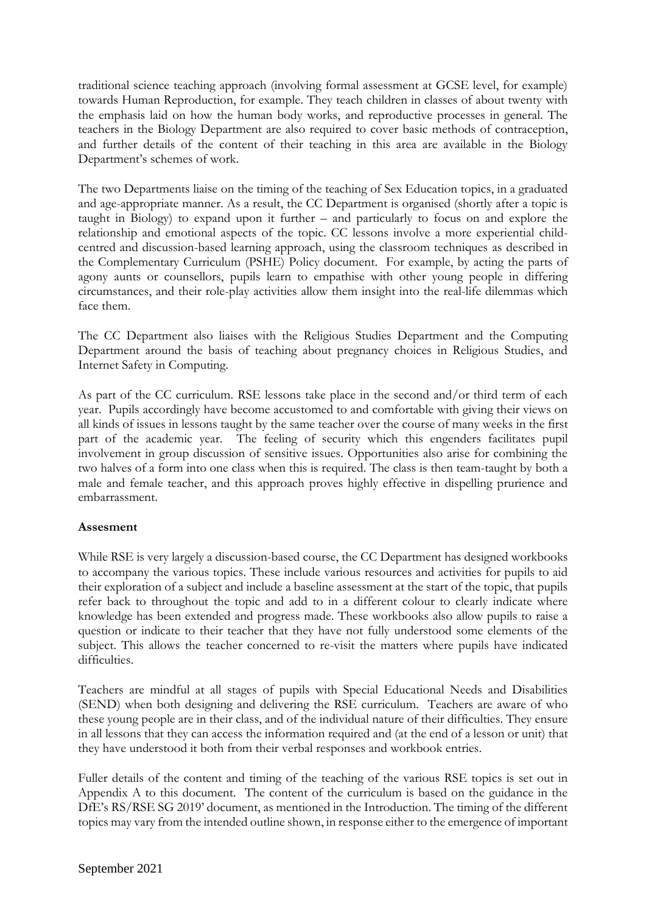traditional science teaching approach (involving formal assessment at GCSE level, for example) towards Human Reproduction, for example. They teach children in classes of about twenty with the emphasis laid on how the human body works, and reproductive processes in general. The teachers in the Biology Department are also required to cover basic methods of contraception, and further details of the content of their teaching in this area are available in the Biology Department's schemes of work.

The two Departments liaise on the timing of the teaching of Sex Education topics, in a graduated and age-appropriate manner. As a result, the CC Department is organised (shortly after a topic is taught in Biology) to expand upon it further – and particularly to focus on and explore the relationship and emotional aspects of the topic. CC lessons involve a more experiential childcentred and discussion-based learning approach, using the classroom techniques as described in the Complementary Curriculum (PSHE) Policy document. For example, by acting the parts of agony aunts or counsellors, pupils learn to empathise with other young people in differing circumstances, and their role-play activities allow them insight into the real-life dilemmas which face them.

The CC Department also liaises with the Religious Studies Department and the Computing Department around the basis of teaching about pregnancy choices in Religious Studies, and Internet Safety in Computing.

As part of the CC curriculum. RSE lessons take place in the second and/or third term of each year. Pupils accordingly have become accustomed to and comfortable with giving their views on all kinds of issues in lessons taught by the same teacher over the course of many weeks in the first part of the academic year. The feeling of security which this engenders facilitates pupil involvement in group discussion of sensitive issues. Opportunities also arise for combining the two halves of a form into one class when this is required. The class is then team-taught by both a male and female teacher, and this approach proves highly effective in dispelling prurience and embarrassment.

#### **Assesment**

While RSE is very largely a discussion-based course, the CC Department has designed workbooks to accompany the various topics. These include various resources and activities for pupils to aid their exploration of a subject and include a baseline assessment at the start of the topic, that pupils refer back to throughout the topic and add to in a different colour to clearly indicate where knowledge has been extended and progress made. These workbooks also allow pupils to raise a question or indicate to their teacher that they have not fully understood some elements of the subject. This allows the teacher concerned to re-visit the matters where pupils have indicated difficulties.

Teachers are mindful at all stages of pupils with Special Educational Needs and Disabilities (SEND) when both designing and delivering the RSE curriculum. Teachers are aware of who these young people are in their class, and of the individual nature of their difficulties. They ensure in all lessons that they can access the information required and (at the end of a lesson or unit) that they have understood it both from their verbal responses and workbook entries.

Fuller details of the content and timing of the teaching of the various RSE topics is set out in Appendix A to this document. The content of the curriculum is based on the guidance in the DfE's RS/RSE SG 2019' document, as mentioned in the Introduction. The timing of the different topics may vary from the intended outline shown, in response either to the emergence of important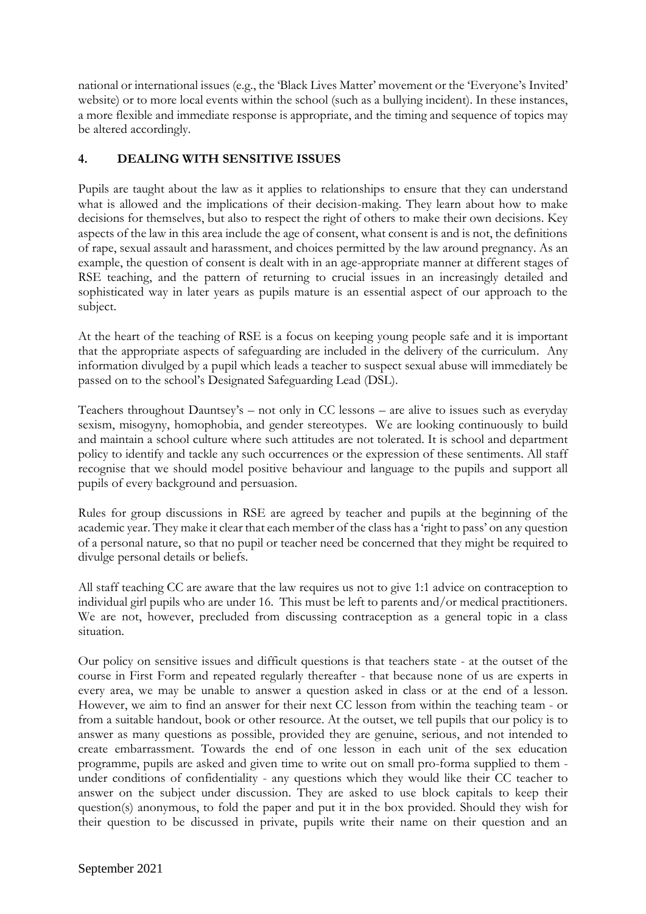national or international issues (e.g., the 'Black Lives Matter' movement or the 'Everyone's Invited' website) or to more local events within the school (such as a bullying incident). In these instances, a more flexible and immediate response is appropriate, and the timing and sequence of topics may be altered accordingly.

## **4. DEALING WITH SENSITIVE ISSUES**

Pupils are taught about the law as it applies to relationships to ensure that they can understand what is allowed and the implications of their decision-making. They learn about how to make decisions for themselves, but also to respect the right of others to make their own decisions. Key aspects of the law in this area include the age of consent, what consent is and is not, the definitions of rape, sexual assault and harassment, and choices permitted by the law around pregnancy. As an example, the question of consent is dealt with in an age-appropriate manner at different stages of RSE teaching, and the pattern of returning to crucial issues in an increasingly detailed and sophisticated way in later years as pupils mature is an essential aspect of our approach to the subject.

At the heart of the teaching of RSE is a focus on keeping young people safe and it is important that the appropriate aspects of safeguarding are included in the delivery of the curriculum. Any information divulged by a pupil which leads a teacher to suspect sexual abuse will immediately be passed on to the school's Designated Safeguarding Lead (DSL).

Teachers throughout Dauntsey's – not only in CC lessons – are alive to issues such as everyday sexism, misogyny, homophobia, and gender stereotypes. We are looking continuously to build and maintain a school culture where such attitudes are not tolerated. It is school and department policy to identify and tackle any such occurrences or the expression of these sentiments. All staff recognise that we should model positive behaviour and language to the pupils and support all pupils of every background and persuasion.

Rules for group discussions in RSE are agreed by teacher and pupils at the beginning of the academic year. They make it clear that each member of the class has a 'right to pass' on any question of a personal nature, so that no pupil or teacher need be concerned that they might be required to divulge personal details or beliefs.

All staff teaching CC are aware that the law requires us not to give 1:1 advice on contraception to individual girl pupils who are under 16. This must be left to parents and/or medical practitioners. We are not, however, precluded from discussing contraception as a general topic in a class situation.

Our policy on sensitive issues and difficult questions is that teachers state - at the outset of the course in First Form and repeated regularly thereafter - that because none of us are experts in every area, we may be unable to answer a question asked in class or at the end of a lesson. However, we aim to find an answer for their next CC lesson from within the teaching team - or from a suitable handout, book or other resource. At the outset, we tell pupils that our policy is to answer as many questions as possible, provided they are genuine, serious, and not intended to create embarrassment. Towards the end of one lesson in each unit of the sex education programme, pupils are asked and given time to write out on small pro-forma supplied to them under conditions of confidentiality - any questions which they would like their CC teacher to answer on the subject under discussion. They are asked to use block capitals to keep their question(s) anonymous, to fold the paper and put it in the box provided. Should they wish for their question to be discussed in private, pupils write their name on their question and an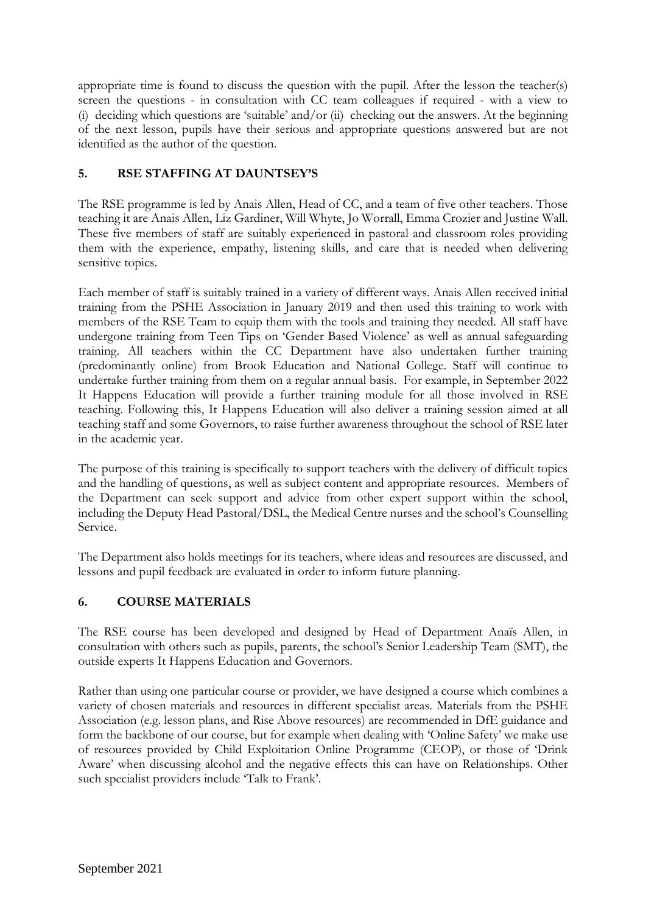appropriate time is found to discuss the question with the pupil. After the lesson the teacher(s) screen the questions - in consultation with CC team colleagues if required - with a view to (i) deciding which questions are 'suitable' and/or (ii) checking out the answers. At the beginning of the next lesson, pupils have their serious and appropriate questions answered but are not identified as the author of the question.

## **5. RSE STAFFING AT DAUNTSEY'S**

The RSE programme is led by Anais Allen, Head of CC, and a team of five other teachers. Those teaching it are Anais Allen, Liz Gardiner, Will Whyte, Jo Worrall, Emma Crozier and Justine Wall. These five members of staff are suitably experienced in pastoral and classroom roles providing them with the experience, empathy, listening skills, and care that is needed when delivering sensitive topics.

Each member of staff is suitably trained in a variety of different ways. Anais Allen received initial training from the PSHE Association in January 2019 and then used this training to work with members of the RSE Team to equip them with the tools and training they needed. All staff have undergone training from Teen Tips on 'Gender Based Violence' as well as annual safeguarding training. All teachers within the CC Department have also undertaken further training (predominantly online) from Brook Education and National College. Staff will continue to undertake further training from them on a regular annual basis. For example, in September 2022 It Happens Education will provide a further training module for all those involved in RSE teaching. Following this, It Happens Education will also deliver a training session aimed at all teaching staff and some Governors, to raise further awareness throughout the school of RSE later in the academic year.

The purpose of this training is specifically to support teachers with the delivery of difficult topics and the handling of questions, as well as subject content and appropriate resources. Members of the Department can seek support and advice from other expert support within the school, including the Deputy Head Pastoral/DSL, the Medical Centre nurses and the school's Counselling Service.

The Department also holds meetings for its teachers, where ideas and resources are discussed, and lessons and pupil feedback are evaluated in order to inform future planning.

## **6. COURSE MATERIALS**

The RSE course has been developed and designed by Head of Department Anaïs Allen, in consultation with others such as pupils, parents, the school's Senior Leadership Team (SMT), the outside experts It Happens Education and Governors.

Rather than using one particular course or provider, we have designed a course which combines a variety of chosen materials and resources in different specialist areas. Materials from the PSHE Association (e.g. lesson plans, and Rise Above resources) are recommended in DfE guidance and form the backbone of our course, but for example when dealing with 'Online Safety' we make use of resources provided by Child Exploitation Online Programme (CEOP), or those of 'Drink Aware' when discussing alcohol and the negative effects this can have on Relationships. Other such specialist providers include 'Talk to Frank'.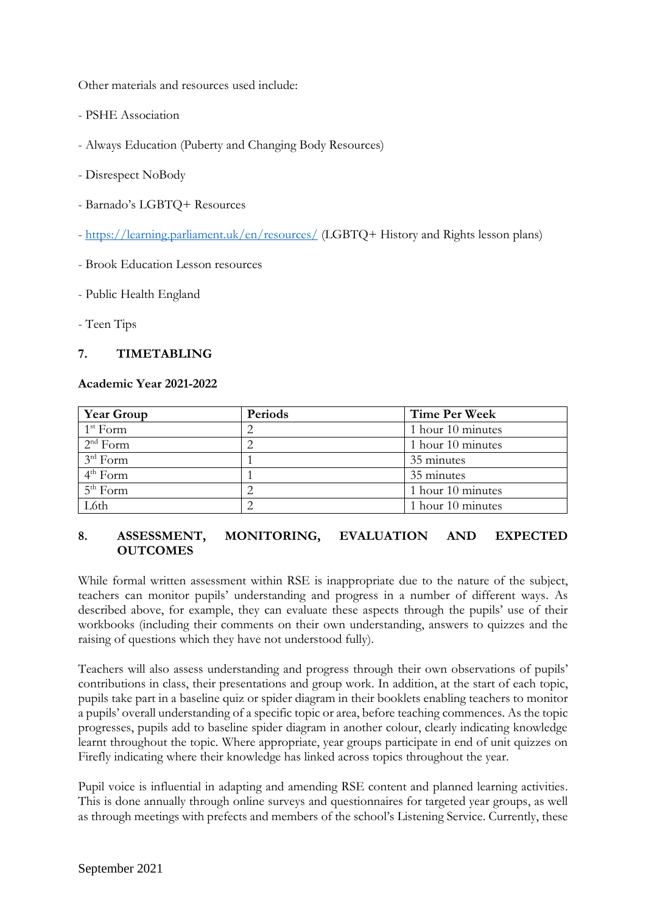Other materials and resources used include:

- PSHE Association
- Always Education (Puberty and Changing Body Resources)
- Disrespect NoBody
- Barnado's LGBTQ+ Resources
- <https://learning.parliament.uk/en/resources/> (LGBTQ+ History and Rights lesson plans)
- Brook Education Lesson resources
- Public Health England
- Teen Tips

#### **7. TIMETABLING**

#### **Academic Year 2021-2022**

| <b>Year Group</b>    | Periods | <b>Time Per Week</b> |  |
|----------------------|---------|----------------------|--|
| $1st$ Form           |         | 1 hour 10 minutes    |  |
| $2nd$ Form           |         | 1 hour 10 minutes    |  |
| $3rd$ Form           |         | 35 minutes           |  |
| $4th$ Form           |         | 35 minutes           |  |
| $5^{\text{th}}$ Form |         | 1 hour 10 minutes    |  |
| L6th                 |         | 1 hour 10 minutes    |  |

#### **8. ASSESSMENT, MONITORING, EVALUATION AND EXPECTED OUTCOMES**

While formal written assessment within RSE is inappropriate due to the nature of the subject, teachers can monitor pupils' understanding and progress in a number of different ways. As described above, for example, they can evaluate these aspects through the pupils' use of their workbooks (including their comments on their own understanding, answers to quizzes and the raising of questions which they have not understood fully).

Teachers will also assess understanding and progress through their own observations of pupils' contributions in class, their presentations and group work. In addition, at the start of each topic, pupils take part in a baseline quiz or spider diagram in their booklets enabling teachers to monitor a pupils' overall understanding of a specific topic or area, before teaching commences. As the topic progresses, pupils add to baseline spider diagram in another colour, clearly indicating knowledge learnt throughout the topic. Where appropriate, year groups participate in end of unit quizzes on Firefly indicating where their knowledge has linked across topics throughout the year.

Pupil voice is influential in adapting and amending RSE content and planned learning activities. This is done annually through online surveys and questionnaires for targeted year groups, as well as through meetings with prefects and members of the school's Listening Service. Currently, these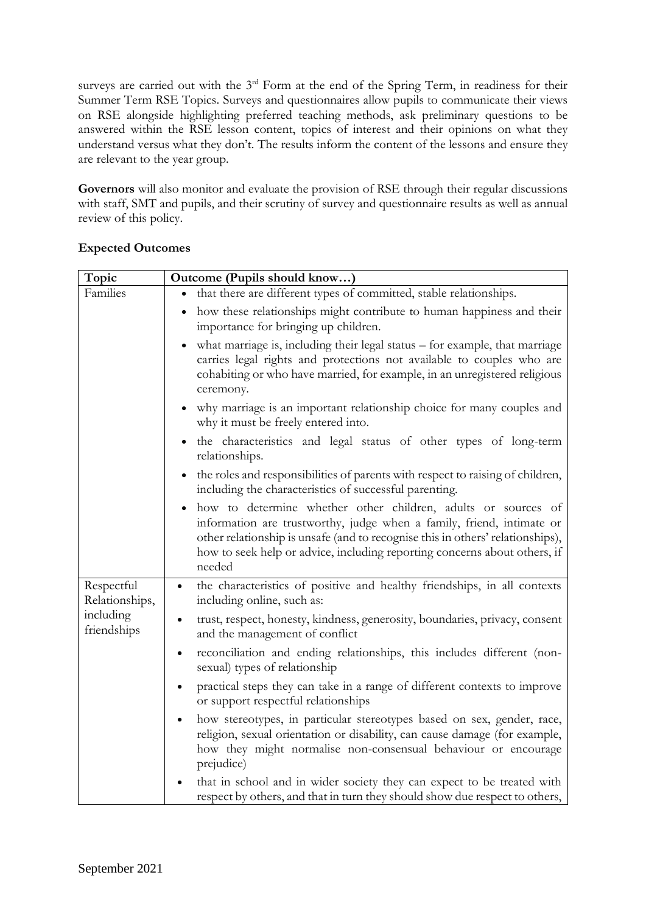surveys are carried out with the  $3<sup>rd</sup>$  Form at the end of the Spring Term, in readiness for their Summer Term RSE Topics. Surveys and questionnaires allow pupils to communicate their views on RSE alongside highlighting preferred teaching methods, ask preliminary questions to be answered within the RSE lesson content, topics of interest and their opinions on what they understand versus what they don't. The results inform the content of the lessons and ensure they are relevant to the year group.

**Governors** will also monitor and evaluate the provision of RSE through their regular discussions with staff, SMT and pupils, and their scrutiny of survey and questionnaire results as well as annual review of this policy.

| Topic                        | Outcome (Pupils should know)                                                                                                                                                                                                                                                                                    |
|------------------------------|-----------------------------------------------------------------------------------------------------------------------------------------------------------------------------------------------------------------------------------------------------------------------------------------------------------------|
| Families                     | • that there are different types of committed, stable relationships.                                                                                                                                                                                                                                            |
|                              | how these relationships might contribute to human happiness and their<br>importance for bringing up children.                                                                                                                                                                                                   |
|                              | what marriage is, including their legal status – for example, that marriage<br>carries legal rights and protections not available to couples who are<br>cohabiting or who have married, for example, in an unregistered religious<br>ceremony.                                                                  |
|                              | why marriage is an important relationship choice for many couples and<br>why it must be freely entered into.                                                                                                                                                                                                    |
|                              | the characteristics and legal status of other types of long-term<br>relationships.                                                                                                                                                                                                                              |
|                              | the roles and responsibilities of parents with respect to raising of children,<br>including the characteristics of successful parenting.                                                                                                                                                                        |
|                              | how to determine whether other children, adults or sources of<br>information are trustworthy, judge when a family, friend, intimate or<br>other relationship is unsafe (and to recognise this in others' relationships),<br>how to seek help or advice, including reporting concerns about others, if<br>needed |
| Respectful<br>Relationships, | the characteristics of positive and healthy friendships, in all contexts<br>$\bullet$<br>including online, such as:                                                                                                                                                                                             |
| including<br>friendships     | trust, respect, honesty, kindness, generosity, boundaries, privacy, consent<br>and the management of conflict                                                                                                                                                                                                   |
|                              | reconciliation and ending relationships, this includes different (non-<br>$\bullet$<br>sexual) types of relationship                                                                                                                                                                                            |
|                              | practical steps they can take in a range of different contexts to improve<br>$\bullet$<br>or support respectful relationships                                                                                                                                                                                   |
|                              | how stereotypes, in particular stereotypes based on sex, gender, race,<br>religion, sexual orientation or disability, can cause damage (for example,<br>how they might normalise non-consensual behaviour or encourage<br>prejudice)                                                                            |
|                              | that in school and in wider society they can expect to be treated with<br>respect by others, and that in turn they should show due respect to others,                                                                                                                                                           |

## **Expected Outcomes**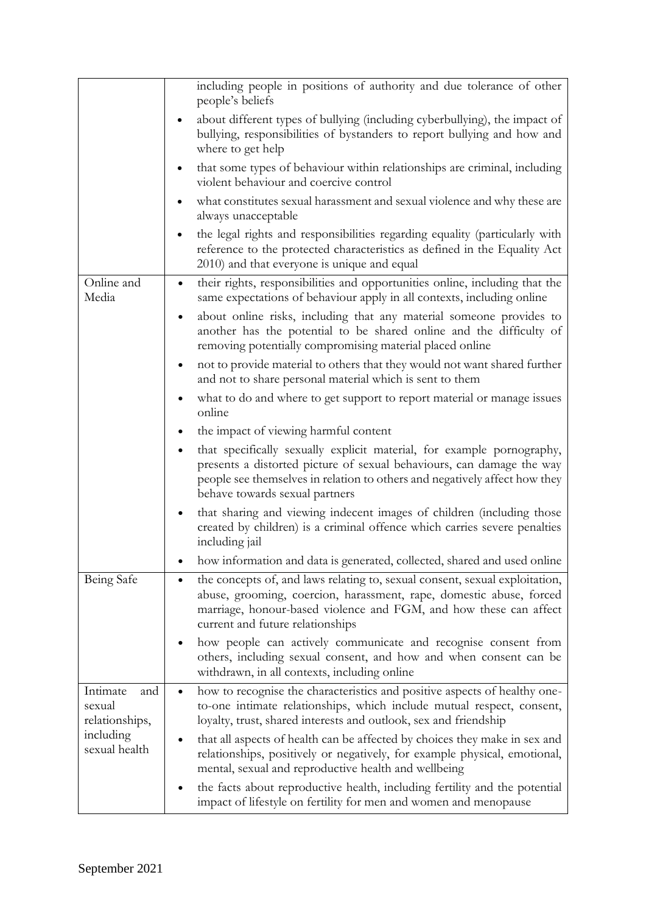|                                                                           | including people in positions of authority and due tolerance of other<br>people's beliefs                                                                                                                                                                       |
|---------------------------------------------------------------------------|-----------------------------------------------------------------------------------------------------------------------------------------------------------------------------------------------------------------------------------------------------------------|
|                                                                           | about different types of bullying (including cyberbullying), the impact of<br>bullying, responsibilities of bystanders to report bullying and how and<br>where to get help                                                                                      |
|                                                                           | that some types of behaviour within relationships are criminal, including<br>violent behaviour and coercive control                                                                                                                                             |
|                                                                           | what constitutes sexual harassment and sexual violence and why these are<br>always unacceptable                                                                                                                                                                 |
|                                                                           | the legal rights and responsibilities regarding equality (particularly with<br>reference to the protected characteristics as defined in the Equality Act<br>2010) and that everyone is unique and equal                                                         |
| Online and<br>Media                                                       | their rights, responsibilities and opportunities online, including that the<br>$\bullet$<br>same expectations of behaviour apply in all contexts, including online                                                                                              |
|                                                                           | about online risks, including that any material someone provides to<br>another has the potential to be shared online and the difficulty of<br>removing potentially compromising material placed online                                                          |
|                                                                           | not to provide material to others that they would not want shared further<br>and not to share personal material which is sent to them                                                                                                                           |
|                                                                           | what to do and where to get support to report material or manage issues<br>online                                                                                                                                                                               |
|                                                                           | the impact of viewing harmful content<br>٠                                                                                                                                                                                                                      |
|                                                                           | that specifically sexually explicit material, for example pornography,<br>presents a distorted picture of sexual behaviours, can damage the way<br>people see themselves in relation to others and negatively affect how they<br>behave towards sexual partners |
|                                                                           | that sharing and viewing indecent images of children (including those<br>created by children) is a criminal offence which carries severe penalties<br>including jail                                                                                            |
|                                                                           | how information and data is generated, collected, shared and used online                                                                                                                                                                                        |
| Being Safe                                                                | the concepts of, and laws relating to, sexual consent, sexual exploitation,<br>abuse, grooming, coercion, harassment, rape, domestic abuse, forced<br>marriage, honour-based violence and FGM, and how these can affect<br>current and future relationships     |
|                                                                           | how people can actively communicate and recognise consent from<br>others, including sexual consent, and how and when consent can be<br>withdrawn, in all contexts, including online                                                                             |
| Intimate<br>and<br>sexual<br>relationships,<br>including<br>sexual health | how to recognise the characteristics and positive aspects of healthy one-<br>to-one intimate relationships, which include mutual respect, consent,<br>loyalty, trust, shared interests and outlook, sex and friendship                                          |
|                                                                           | that all aspects of health can be affected by choices they make in sex and<br>relationships, positively or negatively, for example physical, emotional,<br>mental, sexual and reproductive health and wellbeing                                                 |
|                                                                           | the facts about reproductive health, including fertility and the potential<br>impact of lifestyle on fertility for men and women and menopause                                                                                                                  |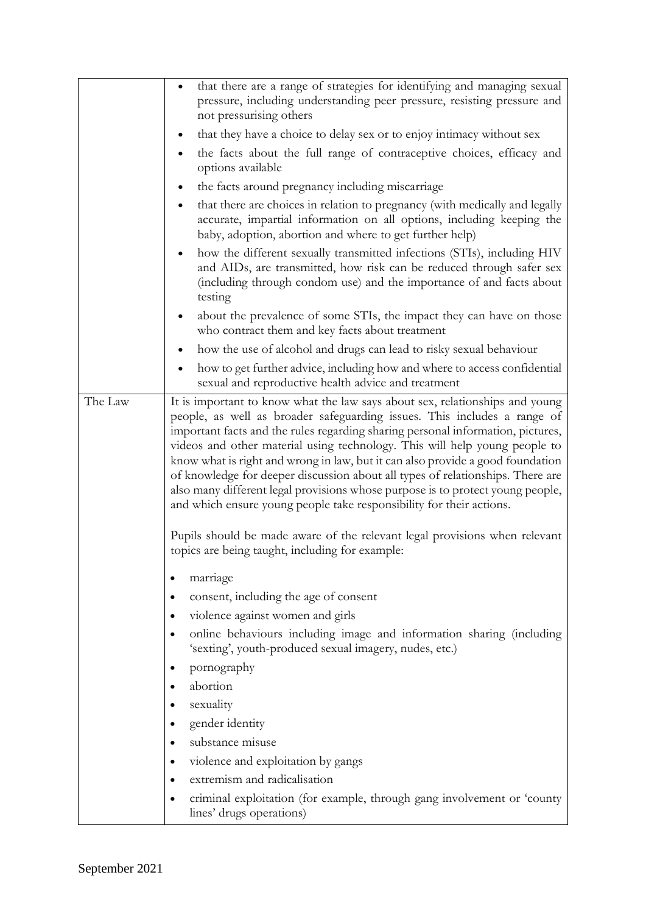|         | that there are a range of strategies for identifying and managing sexual<br>$\bullet$<br>pressure, including understanding peer pressure, resisting pressure and                                                                                                                                                                                                                                                                                                                                                                                                                                                                                        |
|---------|---------------------------------------------------------------------------------------------------------------------------------------------------------------------------------------------------------------------------------------------------------------------------------------------------------------------------------------------------------------------------------------------------------------------------------------------------------------------------------------------------------------------------------------------------------------------------------------------------------------------------------------------------------|
|         | not pressurising others                                                                                                                                                                                                                                                                                                                                                                                                                                                                                                                                                                                                                                 |
|         | that they have a choice to delay sex or to enjoy intimacy without sex                                                                                                                                                                                                                                                                                                                                                                                                                                                                                                                                                                                   |
|         | the facts about the full range of contraceptive choices, efficacy and<br>options available                                                                                                                                                                                                                                                                                                                                                                                                                                                                                                                                                              |
|         | the facts around pregnancy including miscarriage                                                                                                                                                                                                                                                                                                                                                                                                                                                                                                                                                                                                        |
|         | that there are choices in relation to pregnancy (with medically and legally<br>accurate, impartial information on all options, including keeping the<br>baby, adoption, abortion and where to get further help)                                                                                                                                                                                                                                                                                                                                                                                                                                         |
|         | how the different sexually transmitted infections (STIs), including HIV<br>and AIDs, are transmitted, how risk can be reduced through safer sex<br>(including through condom use) and the importance of and facts about<br>testing                                                                                                                                                                                                                                                                                                                                                                                                                      |
|         | about the prevalence of some STIs, the impact they can have on those<br>$\bullet$<br>who contract them and key facts about treatment                                                                                                                                                                                                                                                                                                                                                                                                                                                                                                                    |
|         | how the use of alcohol and drugs can lead to risky sexual behaviour                                                                                                                                                                                                                                                                                                                                                                                                                                                                                                                                                                                     |
|         | how to get further advice, including how and where to access confidential<br>sexual and reproductive health advice and treatment                                                                                                                                                                                                                                                                                                                                                                                                                                                                                                                        |
| The Law | It is important to know what the law says about sex, relationships and young<br>people, as well as broader safeguarding issues. This includes a range of<br>important facts and the rules regarding sharing personal information, pictures,<br>videos and other material using technology. This will help young people to<br>know what is right and wrong in law, but it can also provide a good foundation<br>of knowledge for deeper discussion about all types of relationships. There are<br>also many different legal provisions whose purpose is to protect young people,<br>and which ensure young people take responsibility for their actions. |
|         | Pupils should be made aware of the relevant legal provisions when relevant<br>topics are being taught, including for example:                                                                                                                                                                                                                                                                                                                                                                                                                                                                                                                           |
|         | marriage                                                                                                                                                                                                                                                                                                                                                                                                                                                                                                                                                                                                                                                |
|         | consent, including the age of consent                                                                                                                                                                                                                                                                                                                                                                                                                                                                                                                                                                                                                   |
|         | violence against women and girls                                                                                                                                                                                                                                                                                                                                                                                                                                                                                                                                                                                                                        |
|         | online behaviours including image and information sharing (including<br>'sexting', youth-produced sexual imagery, nudes, etc.)                                                                                                                                                                                                                                                                                                                                                                                                                                                                                                                          |
|         | pornography                                                                                                                                                                                                                                                                                                                                                                                                                                                                                                                                                                                                                                             |
|         | abortion                                                                                                                                                                                                                                                                                                                                                                                                                                                                                                                                                                                                                                                |
|         | sexuality<br>$\bullet$                                                                                                                                                                                                                                                                                                                                                                                                                                                                                                                                                                                                                                  |
|         | gender identity<br>$\bullet$                                                                                                                                                                                                                                                                                                                                                                                                                                                                                                                                                                                                                            |
|         | substance misuse                                                                                                                                                                                                                                                                                                                                                                                                                                                                                                                                                                                                                                        |
|         | violence and exploitation by gangs                                                                                                                                                                                                                                                                                                                                                                                                                                                                                                                                                                                                                      |
|         | extremism and radicalisation                                                                                                                                                                                                                                                                                                                                                                                                                                                                                                                                                                                                                            |
|         | criminal exploitation (for example, through gang involvement or 'county<br>lines' drugs operations)                                                                                                                                                                                                                                                                                                                                                                                                                                                                                                                                                     |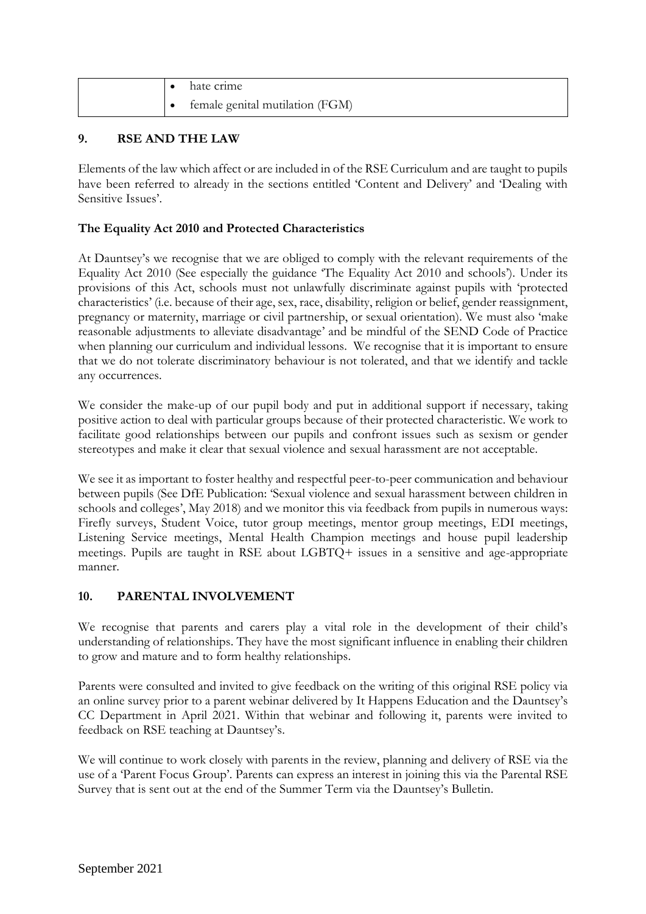|  | hate crime                      |
|--|---------------------------------|
|  | female genital mutilation (FGM) |

## **9. RSE AND THE LAW**

Elements of the law which affect or are included in of the RSE Curriculum and are taught to pupils have been referred to already in the sections entitled 'Content and Delivery' and 'Dealing with Sensitive Issues'.

## **The Equality Act 2010 and Protected Characteristics**

At Dauntsey's we recognise that we are obliged to comply with the relevant requirements of the Equality Act 2010 (See especially the guidance 'The Equality Act 2010 and schools'). Under its provisions of this Act, schools must not unlawfully discriminate against pupils with 'protected characteristics' (i.e. because of their age, sex, race, disability, religion or belief, gender reassignment, pregnancy or maternity, marriage or civil partnership, or sexual orientation). We must also 'make reasonable adjustments to alleviate disadvantage' and be mindful of the SEND Code of Practice when planning our curriculum and individual lessons. We recognise that it is important to ensure that we do not tolerate discriminatory behaviour is not tolerated, and that we identify and tackle any occurrences.

We consider the make-up of our pupil body and put in additional support if necessary, taking positive action to deal with particular groups because of their protected characteristic. We work to facilitate good relationships between our pupils and confront issues such as sexism or gender stereotypes and make it clear that sexual violence and sexual harassment are not acceptable.

We see it as important to foster healthy and respectful peer-to-peer communication and behaviour between pupils (See DfE Publication: 'Sexual violence and sexual harassment between children in schools and colleges', May 2018) and we monitor this via feedback from pupils in numerous ways: Firefly surveys, Student Voice, tutor group meetings, mentor group meetings, EDI meetings, Listening Service meetings, Mental Health Champion meetings and house pupil leadership meetings. Pupils are taught in RSE about LGBTQ+ issues in a sensitive and age-appropriate manner.

## **10. PARENTAL INVOLVEMENT**

We recognise that parents and carers play a vital role in the development of their child's understanding of relationships. They have the most significant influence in enabling their children to grow and mature and to form healthy relationships.

Parents were consulted and invited to give feedback on the writing of this original RSE policy via an online survey prior to a parent webinar delivered by It Happens Education and the Dauntsey's CC Department in April 2021. Within that webinar and following it, parents were invited to feedback on RSE teaching at Dauntsey's.

We will continue to work closely with parents in the review, planning and delivery of RSE via the use of a 'Parent Focus Group'. Parents can express an interest in joining this via the Parental RSE Survey that is sent out at the end of the Summer Term via the Dauntsey's Bulletin.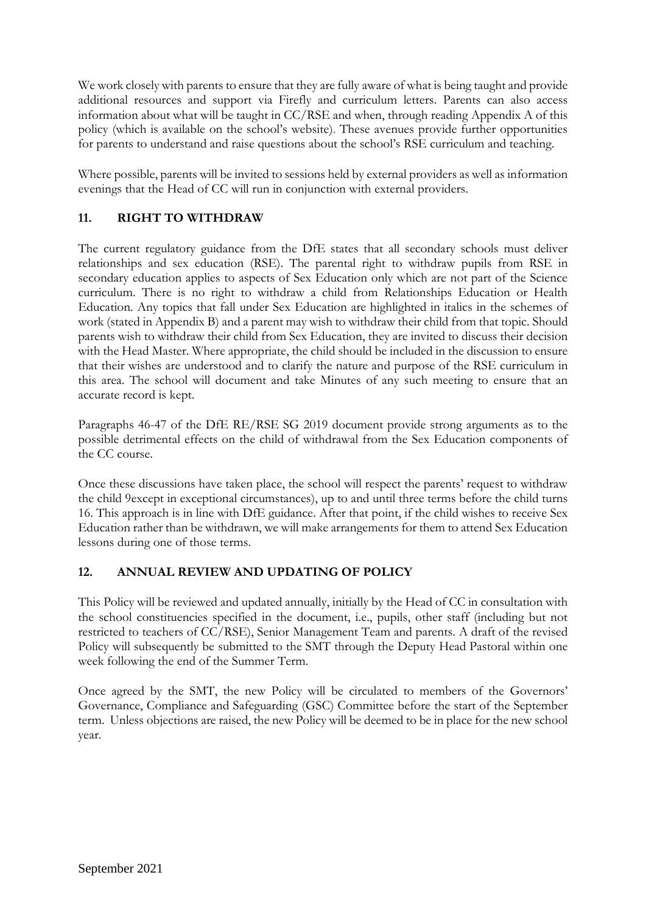We work closely with parents to ensure that they are fully aware of what is being taught and provide additional resources and support via Firefly and curriculum letters. Parents can also access information about what will be taught in CC/RSE and when, through reading Appendix A of this policy (which is available on the school's website). These avenues provide further opportunities for parents to understand and raise questions about the school's RSE curriculum and teaching.

Where possible, parents will be invited to sessions held by external providers as well as information evenings that the Head of CC will run in conjunction with external providers.

## **11. RIGHT TO WITHDRAW**

The current regulatory guidance from the DfE states that all secondary schools must deliver relationships and sex education (RSE). The parental right to withdraw pupils from RSE in secondary education applies to aspects of Sex Education only which are not part of the Science curriculum. There is no right to withdraw a child from Relationships Education or Health Education. Any topics that fall under Sex Education are highlighted in italics in the schemes of work (stated in Appendix B) and a parent may wish to withdraw their child from that topic. Should parents wish to withdraw their child from Sex Education, they are invited to discuss their decision with the Head Master. Where appropriate, the child should be included in the discussion to ensure that their wishes are understood and to clarify the nature and purpose of the RSE curriculum in this area. The school will document and take Minutes of any such meeting to ensure that an accurate record is kept.

Paragraphs 46-47 of the DfE RE/RSE SG 2019 document provide strong arguments as to the possible detrimental effects on the child of withdrawal from the Sex Education components of the CC course.

Once these discussions have taken place, the school will respect the parents' request to withdraw the child 9except in exceptional circumstances), up to and until three terms before the child turns 16. This approach is in line with DfE guidance. After that point, if the child wishes to receive Sex Education rather than be withdrawn, we will make arrangements for them to attend Sex Education lessons during one of those terms.

## **12. ANNUAL REVIEW AND UPDATING OF POLICY**

This Policy will be reviewed and updated annually, initially by the Head of CC in consultation with the school constituencies specified in the document, i.e., pupils, other staff (including but not restricted to teachers of CC/RSE), Senior Management Team and parents. A draft of the revised Policy will subsequently be submitted to the SMT through the Deputy Head Pastoral within one week following the end of the Summer Term.

Once agreed by the SMT, the new Policy will be circulated to members of the Governors' Governance, Compliance and Safeguarding (GSC) Committee before the start of the September term. Unless objections are raised, the new Policy will be deemed to be in place for the new school year.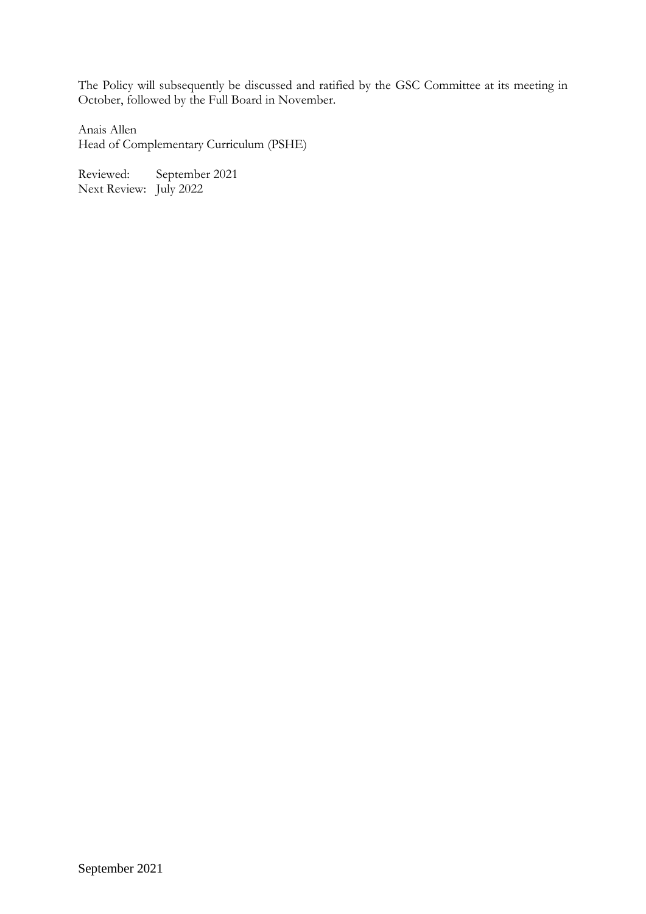The Policy will subsequently be discussed and ratified by the GSC Committee at its meeting in October, followed by the Full Board in November.

Anais Allen Head of Complementary Curriculum (PSHE)

Reviewed: September 2021 Next Review: July 2022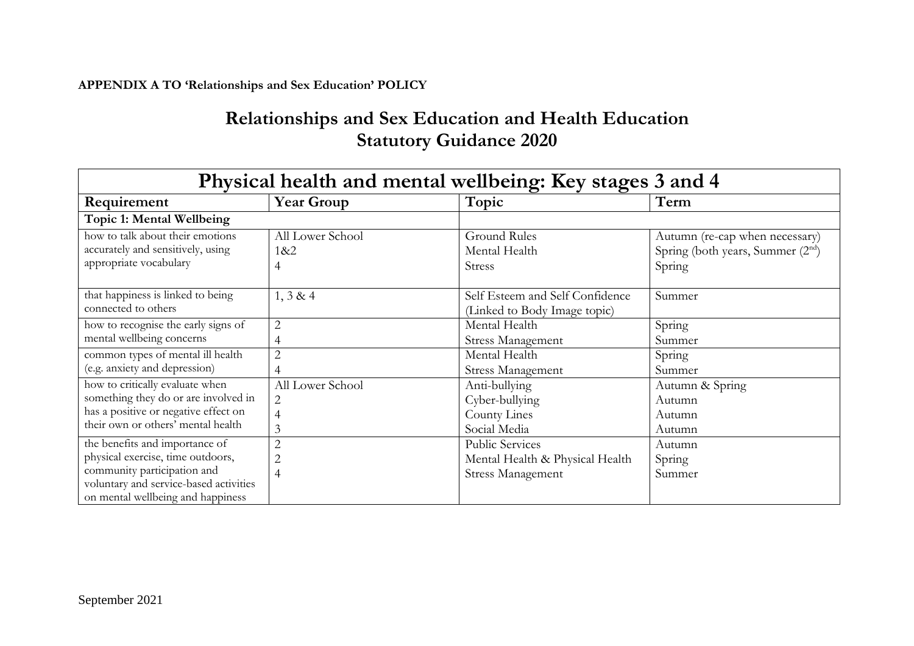## **APPENDIX A TO 'Relationships and Sex Education' POLICY**

# **Relationships and Sex Education and Health Education Statutory Guidance 2020**

| Physical health and mental wellbeing: Key stages 3 and 4                                                                                                                          |                                                    |                                                                                       |                                                                                |  |
|-----------------------------------------------------------------------------------------------------------------------------------------------------------------------------------|----------------------------------------------------|---------------------------------------------------------------------------------------|--------------------------------------------------------------------------------|--|
| Requirement                                                                                                                                                                       | <b>Year Group</b>                                  | Topic                                                                                 | Term                                                                           |  |
| Topic 1: Mental Wellbeing                                                                                                                                                         |                                                    |                                                                                       |                                                                                |  |
| how to talk about their emotions<br>accurately and sensitively, using<br>appropriate vocabulary                                                                                   | All Lower School<br>1&8:2<br>4                     | <b>Ground Rules</b><br>Mental Health<br><b>Stress</b>                                 | Autumn (re-cap when necessary)<br>Spring (both years, Summer $(2nd)$<br>Spring |  |
| that happiness is linked to being<br>connected to others                                                                                                                          | 1, 3 & 4                                           | Self Esteem and Self Confidence<br>(Linked to Body Image topic)                       | Summer                                                                         |  |
| how to recognise the early signs of<br>mental wellbeing concerns                                                                                                                  | $\overline{2}$<br>4                                | Mental Health<br><b>Stress Management</b>                                             | Spring<br>Summer                                                               |  |
| common types of mental ill health<br>(e.g. anxiety and depression)                                                                                                                | $\overline{2}$<br>4                                | Mental Health<br><b>Stress Management</b>                                             | Spring<br>Summer                                                               |  |
| how to critically evaluate when<br>something they do or are involved in<br>has a positive or negative effect on<br>their own or others' mental health                             | All Lower School<br>$\overline{2}$<br>4<br>3       | Anti-bullying<br>Cyber-bullying<br>County Lines<br>Social Media                       | Autumn & Spring<br>Autumn<br>Autumn<br>Autumn                                  |  |
| the benefits and importance of<br>physical exercise, time outdoors,<br>community participation and<br>voluntary and service-based activities<br>on mental wellbeing and happiness | $\overline{2}$<br>$\overline{2}$<br>$\overline{4}$ | <b>Public Services</b><br>Mental Health & Physical Health<br><b>Stress Management</b> | Autumn<br>Spring<br>Summer                                                     |  |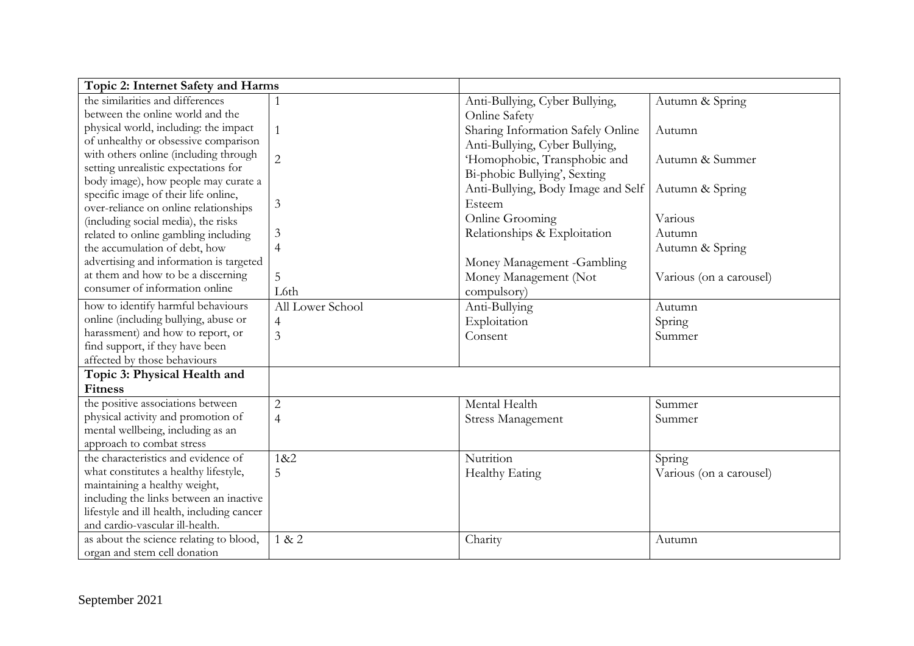| Topic 2: Internet Safety and Harms         |                  |                                    |                         |
|--------------------------------------------|------------------|------------------------------------|-------------------------|
| the similarities and differences           |                  | Anti-Bullying, Cyber Bullying,     | Autumn & Spring         |
| between the online world and the           |                  | Online Safety                      |                         |
| physical world, including: the impact      |                  | Sharing Information Safely Online  | Autumn                  |
| of unhealthy or obsessive comparison       |                  | Anti-Bullying, Cyber Bullying,     |                         |
| with others online (including through      | $\overline{2}$   | 'Homophobic, Transphobic and       | Autumn & Summer         |
| setting unrealistic expectations for       |                  | Bi-phobic Bullying', Sexting       |                         |
| body image), how people may curate a       |                  | Anti-Bullying, Body Image and Self | Autumn & Spring         |
| specific image of their life online,       |                  |                                    |                         |
| over-reliance on online relationships      | 3                | Esteem                             |                         |
| (including social media), the risks        |                  | Online Grooming                    | Various                 |
| related to online gambling including       | 3                | Relationships & Exploitation       | Autumn                  |
| the accumulation of debt, how              | 4                |                                    | Autumn & Spring         |
| advertising and information is targeted    |                  | Money Management -Gambling         |                         |
| at them and how to be a discerning         | 5                | Money Management (Not              | Various (on a carousel) |
| consumer of information online             | L6th             | compulsory)                        |                         |
| how to identify harmful behaviours         | All Lower School | Anti-Bullying                      | Autumn                  |
| online (including bullying, abuse or       | $\overline{4}$   | Exploitation                       | Spring                  |
| harassment) and how to report, or          | 3                | Consent                            | Summer                  |
| find support, if they have been            |                  |                                    |                         |
| affected by those behaviours               |                  |                                    |                         |
| Topic 3: Physical Health and               |                  |                                    |                         |
| <b>Fitness</b>                             |                  |                                    |                         |
| the positive associations between          | $\overline{2}$   | Mental Health                      | Summer                  |
| physical activity and promotion of         | $\overline{4}$   | <b>Stress Management</b>           | Summer                  |
| mental wellbeing, including as an          |                  |                                    |                         |
| approach to combat stress                  |                  |                                    |                         |
| the characteristics and evidence of        | 1&2              | Nutrition                          | Spring                  |
| what constitutes a healthy lifestyle,      | 5                | Healthy Eating                     | Various (on a carousel) |
| maintaining a healthy weight,              |                  |                                    |                         |
| including the links between an inactive    |                  |                                    |                         |
| lifestyle and ill health, including cancer |                  |                                    |                         |
| and cardio-vascular ill-health.            |                  |                                    |                         |
| as about the science relating to blood,    | 1 & 2            | Charity                            | Autumn                  |
| organ and stem cell donation               |                  |                                    |                         |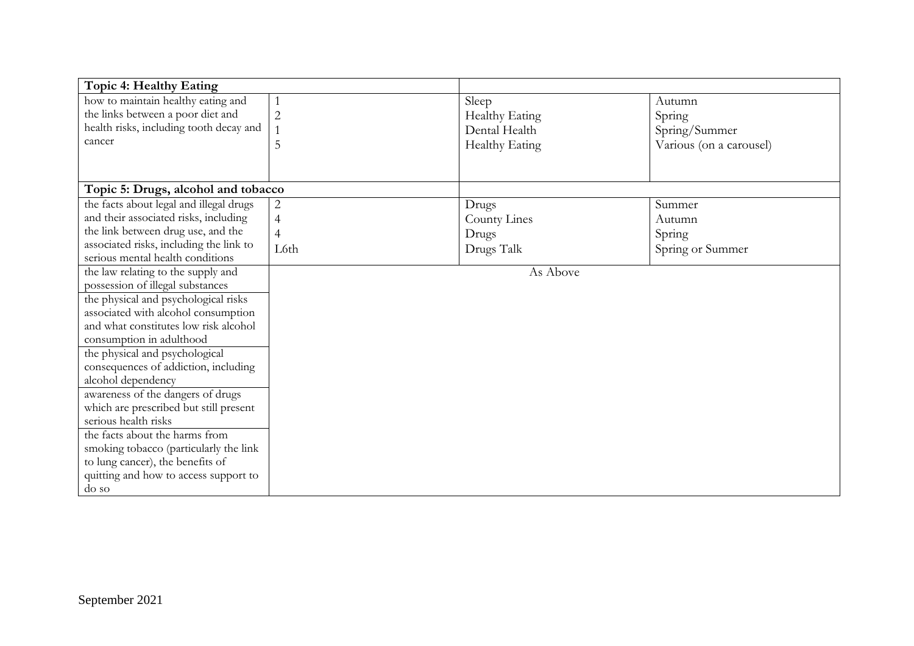| Topic 4: Healthy Eating                 |                |                |                         |
|-----------------------------------------|----------------|----------------|-------------------------|
| how to maintain healthy eating and      |                | Sleep          | Autumn                  |
| the links between a poor diet and       | $\overline{2}$ | Healthy Eating | Spring                  |
| health risks, including tooth decay and |                | Dental Health  | Spring/Summer           |
| cancer                                  | 5              | Healthy Eating | Various (on a carousel) |
|                                         |                |                |                         |
|                                         |                |                |                         |
| Topic 5: Drugs, alcohol and tobacco     |                |                |                         |
| the facts about legal and illegal drugs | $\overline{c}$ | Drugs          | Summer                  |
| and their associated risks, including   | $\overline{4}$ | County Lines   | Autumn                  |
| the link between drug use, and the      | $\overline{4}$ | Drugs          | Spring                  |
| associated risks, including the link to | L6th           | Drugs Talk     | Spring or Summer        |
| serious mental health conditions        |                |                |                         |
| the law relating to the supply and      |                | As Above       |                         |
| possession of illegal substances        |                |                |                         |
| the physical and psychological risks    |                |                |                         |
| associated with alcohol consumption     |                |                |                         |
| and what constitutes low risk alcohol   |                |                |                         |
| consumption in adulthood                |                |                |                         |
| the physical and psychological          |                |                |                         |
| consequences of addiction, including    |                |                |                         |
| alcohol dependency                      |                |                |                         |
| awareness of the dangers of drugs       |                |                |                         |
| which are prescribed but still present  |                |                |                         |
| serious health risks                    |                |                |                         |
| the facts about the harms from          |                |                |                         |
| smoking tobacco (particularly the link  |                |                |                         |
| to lung cancer), the benefits of        |                |                |                         |
| quitting and how to access support to   |                |                |                         |
| do so                                   |                |                |                         |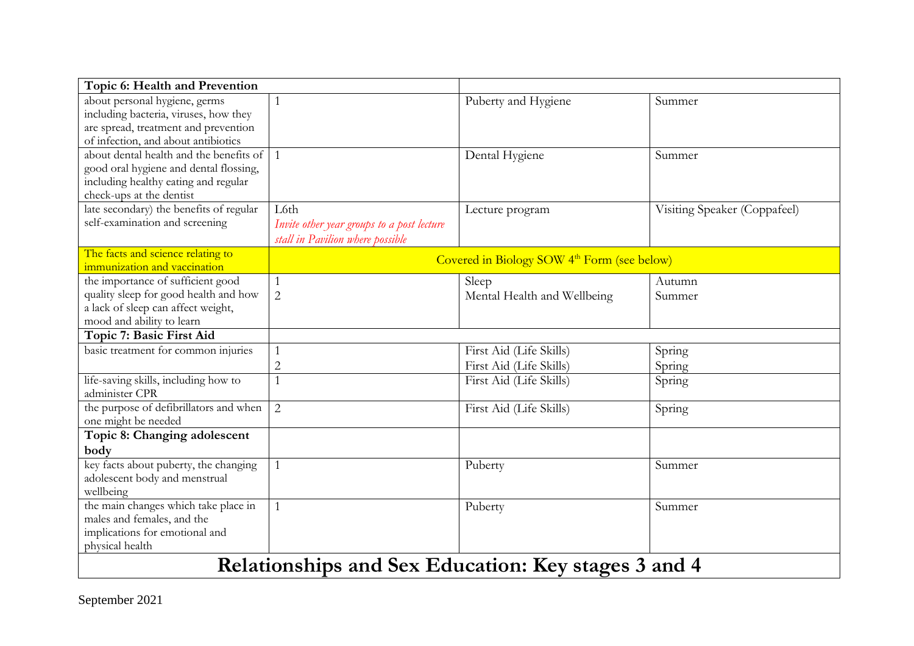| Topic 6: Health and Prevention                         |                                                     |                                                         |                              |  |  |
|--------------------------------------------------------|-----------------------------------------------------|---------------------------------------------------------|------------------------------|--|--|
| about personal hygiene, germs                          |                                                     | Puberty and Hygiene                                     | Summer                       |  |  |
| including bacteria, viruses, how they                  |                                                     |                                                         |                              |  |  |
| are spread, treatment and prevention                   |                                                     |                                                         |                              |  |  |
| of infection, and about antibiotics                    |                                                     |                                                         |                              |  |  |
| about dental health and the benefits of                |                                                     | Dental Hygiene                                          | Summer                       |  |  |
| good oral hygiene and dental flossing,                 |                                                     |                                                         |                              |  |  |
| including healthy eating and regular                   |                                                     |                                                         |                              |  |  |
| check-ups at the dentist                               |                                                     |                                                         |                              |  |  |
| late secondary) the benefits of regular                | L6th                                                | Lecture program                                         | Visiting Speaker (Coppafeel) |  |  |
| self-examination and screening                         | Invite other year groups to a post lecture          |                                                         |                              |  |  |
|                                                        | stall in Pavilion where possible                    |                                                         |                              |  |  |
| The facts and science relating to                      |                                                     | Covered in Biology SOW 4 <sup>th</sup> Form (see below) |                              |  |  |
| immunization and vaccination                           |                                                     |                                                         |                              |  |  |
| the importance of sufficient good                      |                                                     | Sleep                                                   | Autumn                       |  |  |
| quality sleep for good health and how                  | $\overline{2}$                                      | Mental Health and Wellbeing                             | Summer                       |  |  |
| a lack of sleep can affect weight,                     |                                                     |                                                         |                              |  |  |
| mood and ability to learn                              |                                                     |                                                         |                              |  |  |
| Topic 7: Basic First Aid                               |                                                     |                                                         |                              |  |  |
| basic treatment for common injuries                    |                                                     | First Aid (Life Skills)                                 | Spring                       |  |  |
|                                                        | $\overline{c}$                                      | First Aid (Life Skills)                                 | Spring                       |  |  |
| life-saving skills, including how to<br>administer CPR |                                                     | First Aid (Life Skills)                                 | Spring                       |  |  |
| the purpose of defibrillators and when                 | $\overline{2}$                                      | First Aid (Life Skills)                                 | Spring                       |  |  |
| one might be needed                                    |                                                     |                                                         |                              |  |  |
| Topic 8: Changing adolescent                           |                                                     |                                                         |                              |  |  |
| body                                                   |                                                     |                                                         |                              |  |  |
| key facts about puberty, the changing                  | $\mathbf{1}$                                        | Puberty                                                 | Summer                       |  |  |
| adolescent body and menstrual                          |                                                     |                                                         |                              |  |  |
| wellbeing                                              |                                                     |                                                         |                              |  |  |
| the main changes which take place in                   | $\mathbf 1$                                         | Puberty                                                 | Summer                       |  |  |
| males and females, and the                             |                                                     |                                                         |                              |  |  |
| implications for emotional and                         |                                                     |                                                         |                              |  |  |
| physical health                                        |                                                     |                                                         |                              |  |  |
|                                                        | Relationships and Sex Education: Key stages 3 and 4 |                                                         |                              |  |  |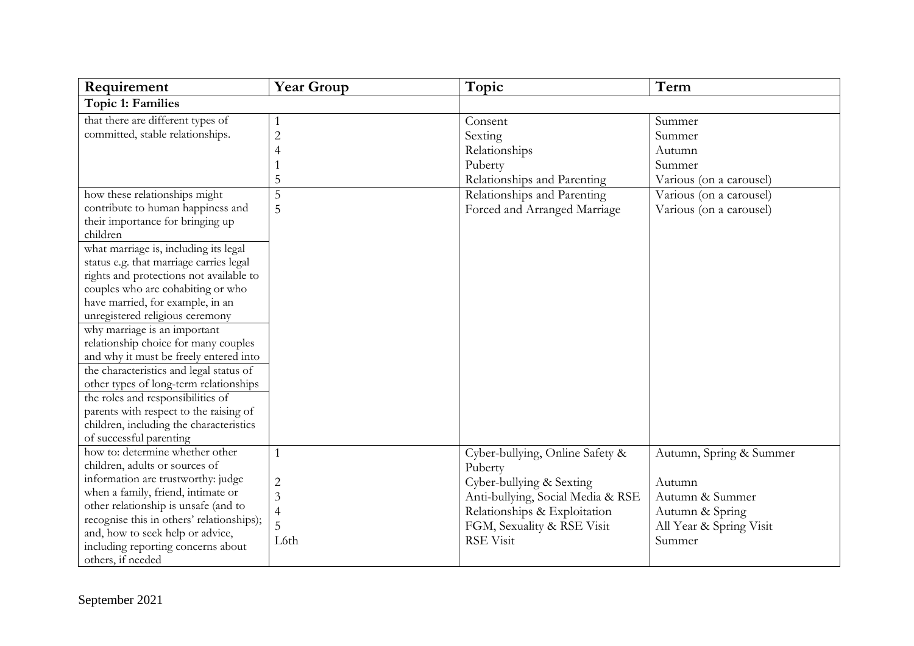| Requirement                                                                                                                                                                                                                                                                                                                                                                                                                                                                                                                                                                                                                                                                                                                                                             | <b>Year Group</b>                                                    | Topic                                                                                                                                                                                         | Term                                                                                                                  |
|-------------------------------------------------------------------------------------------------------------------------------------------------------------------------------------------------------------------------------------------------------------------------------------------------------------------------------------------------------------------------------------------------------------------------------------------------------------------------------------------------------------------------------------------------------------------------------------------------------------------------------------------------------------------------------------------------------------------------------------------------------------------------|----------------------------------------------------------------------|-----------------------------------------------------------------------------------------------------------------------------------------------------------------------------------------------|-----------------------------------------------------------------------------------------------------------------------|
| <b>Topic 1: Families</b>                                                                                                                                                                                                                                                                                                                                                                                                                                                                                                                                                                                                                                                                                                                                                |                                                                      |                                                                                                                                                                                               |                                                                                                                       |
| that there are different types of<br>committed, stable relationships.<br>how these relationships might<br>contribute to human happiness and<br>their importance for bringing up<br>children<br>what marriage is, including its legal<br>status e.g. that marriage carries legal<br>rights and protections not available to<br>couples who are cohabiting or who<br>have married, for example, in an<br>unregistered religious ceremony<br>why marriage is an important<br>relationship choice for many couples<br>and why it must be freely entered into<br>the characteristics and legal status of<br>other types of long-term relationships<br>the roles and responsibilities of<br>parents with respect to the raising of<br>children, including the characteristics | 1<br>$\overline{c}$<br>4<br>5<br>5<br>5                              | Consent<br>Sexting<br>Relationships<br>Puberty<br>Relationships and Parenting<br>Relationships and Parenting<br>Forced and Arranged Marriage                                                  | Summer<br>Summer<br>Autumn<br>Summer<br>Various (on a carousel)<br>Various (on a carousel)<br>Various (on a carousel) |
| of successful parenting<br>how to: determine whether other<br>children, adults or sources of<br>information are trustworthy: judge<br>when a family, friend, intimate or<br>other relationship is unsafe (and to<br>recognise this in others' relationships);<br>and, how to seek help or advice,<br>including reporting concerns about<br>others, if needed                                                                                                                                                                                                                                                                                                                                                                                                            | 1<br>$\overline{c}$<br>$\overline{3}$<br>$\overline{4}$<br>5<br>L6th | Cyber-bullying, Online Safety &<br>Puberty<br>Cyber-bullying & Sexting<br>Anti-bullying, Social Media & RSE<br>Relationships & Exploitation<br>FGM, Sexuality & RSE Visit<br><b>RSE Visit</b> | Autumn, Spring & Summer<br>Autumn<br>Autumn & Summer<br>Autumn & Spring<br>All Year & Spring Visit<br>Summer          |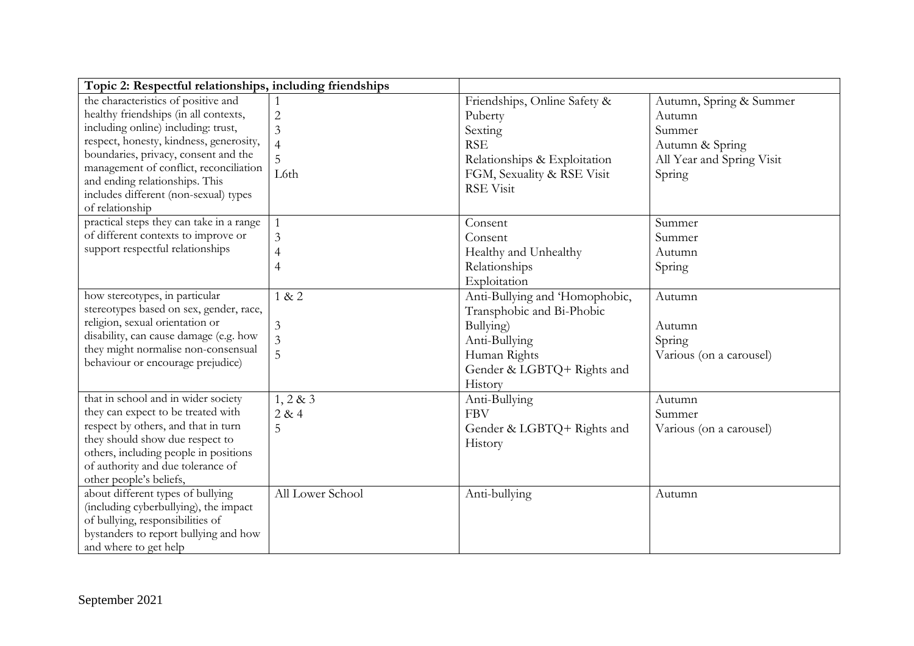| Topic 2: Respectful relationships, including friendships                                                                                                                                                                                                                                                                                       |                                                                 |                                                                                                                                                    |                                                                                                       |
|------------------------------------------------------------------------------------------------------------------------------------------------------------------------------------------------------------------------------------------------------------------------------------------------------------------------------------------------|-----------------------------------------------------------------|----------------------------------------------------------------------------------------------------------------------------------------------------|-------------------------------------------------------------------------------------------------------|
| the characteristics of positive and<br>healthy friendships (in all contexts,<br>including online) including: trust,<br>respect, honesty, kindness, generosity,<br>boundaries, privacy, consent and the<br>management of conflict, reconciliation<br>and ending relationships. This<br>includes different (non-sexual) types<br>of relationship | $\overline{c}$<br>$\overline{3}$<br>$\overline{4}$<br>5<br>L6th | Friendships, Online Safety &<br>Puberty<br>Sexting<br><b>RSE</b><br>Relationships & Exploitation<br>FGM, Sexuality & RSE Visit<br><b>RSE Visit</b> | Autumn, Spring & Summer<br>Autumn<br>Summer<br>Autumn & Spring<br>All Year and Spring Visit<br>Spring |
| practical steps they can take in a range<br>of different contexts to improve or<br>support respectful relationships                                                                                                                                                                                                                            | $\mathbf{1}$<br>3<br>4<br>$\overline{4}$                        | Consent<br>Consent<br>Healthy and Unhealthy<br>Relationships<br>Exploitation                                                                       | Summer<br>Summer<br>Autumn<br>Spring                                                                  |
| how stereotypes, in particular<br>stereotypes based on sex, gender, race,<br>religion, sexual orientation or<br>disability, can cause damage (e.g. how<br>they might normalise non-consensual<br>behaviour or encourage prejudice)                                                                                                             | 1 & 2<br>3<br>3<br>5                                            | Anti-Bullying and 'Homophobic,<br>Transphobic and Bi-Phobic<br>Bullying)<br>Anti-Bullying<br>Human Rights<br>Gender & LGBTQ+ Rights and<br>History | Autumn<br>Autumn<br>Spring<br>Various (on a carousel)                                                 |
| that in school and in wider society<br>they can expect to be treated with<br>respect by others, and that in turn<br>they should show due respect to<br>others, including people in positions<br>of authority and due tolerance of<br>other people's beliefs,                                                                                   | 1, 2 & 3<br>2 & 4<br>5                                          | Anti-Bullying<br><b>FBV</b><br>Gender & LGBTQ+ Rights and<br>History                                                                               | Autumn<br>Summer<br>Various (on a carousel)                                                           |
| about different types of bullying<br>(including cyberbullying), the impact<br>of bullying, responsibilities of<br>bystanders to report bullying and how<br>and where to get help                                                                                                                                                               | All Lower School                                                | Anti-bullying                                                                                                                                      | Autumn                                                                                                |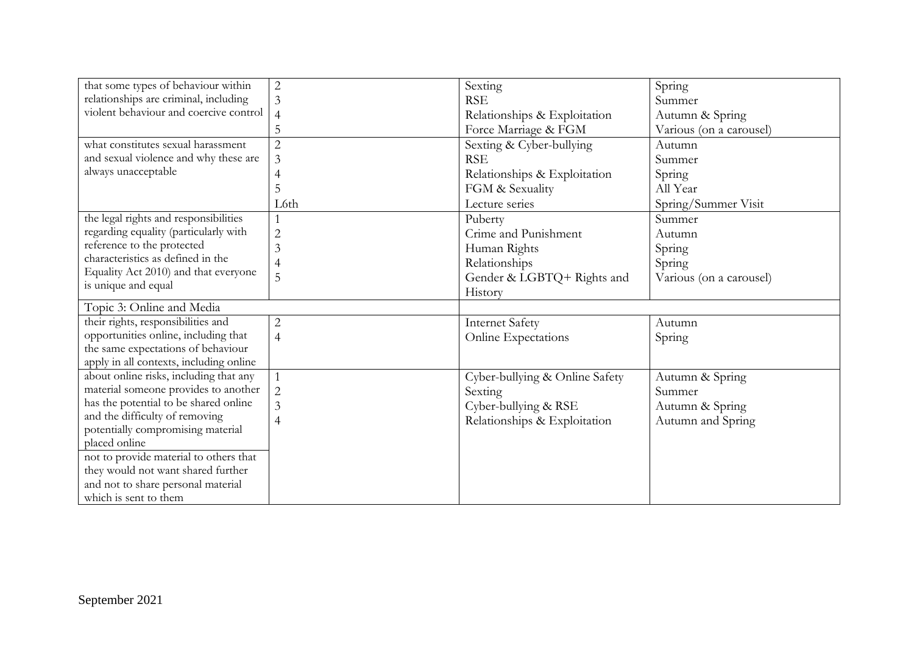| that some types of behaviour within     | $\overline{2}$ | Sexting                        | Spring                  |
|-----------------------------------------|----------------|--------------------------------|-------------------------|
| relationships are criminal, including   | 3              | <b>RSE</b>                     | Summer                  |
| violent behaviour and coercive control  | $\overline{4}$ | Relationships & Exploitation   | Autumn & Spring         |
|                                         | 5              | Force Marriage & FGM           | Various (on a carousel) |
| what constitutes sexual harassment      | $\overline{2}$ | Sexting & Cyber-bullying       | Autumn                  |
| and sexual violence and why these are   | 3              | <b>RSE</b>                     | Summer                  |
| always unacceptable                     |                | Relationships & Exploitation   | Spring                  |
|                                         | 5              | FGM & Sexuality                | All Year                |
|                                         | L6th           | Lecture series                 | Spring/Summer Visit     |
| the legal rights and responsibilities   |                | Puberty                        | Summer                  |
| regarding equality (particularly with   | $\overline{2}$ | Crime and Punishment           | Autumn                  |
| reference to the protected              | 3              | Human Rights                   | Spring                  |
| characteristics as defined in the       | $\overline{4}$ | Relationships                  | Spring                  |
| Equality Act 2010) and that everyone    | 5              | Gender & LGBTQ+ Rights and     | Various (on a carousel) |
| is unique and equal                     |                | History                        |                         |
| Topic 3: Online and Media               |                |                                |                         |
| their rights, responsibilities and      | $\mathbf{2}$   | <b>Internet Safety</b>         | Autumn                  |
| opportunities online, including that    | $\overline{4}$ | Online Expectations            | Spring                  |
| the same expectations of behaviour      |                |                                |                         |
| apply in all contexts, including online |                |                                |                         |
| about online risks, including that any  |                | Cyber-bullying & Online Safety | Autumn & Spring         |
| material someone provides to another    | $\overline{2}$ | Sexting                        | Summer                  |
| has the potential to be shared online   | 3              | Cyber-bullying & RSE           | Autumn & Spring         |
| and the difficulty of removing          | 4              | Relationships & Exploitation   | Autumn and Spring       |
| potentially compromising material       |                |                                |                         |
| placed online                           |                |                                |                         |
| not to provide material to others that  |                |                                |                         |
| they would not want shared further      |                |                                |                         |
| and not to share personal material      |                |                                |                         |
| which is sent to them                   |                |                                |                         |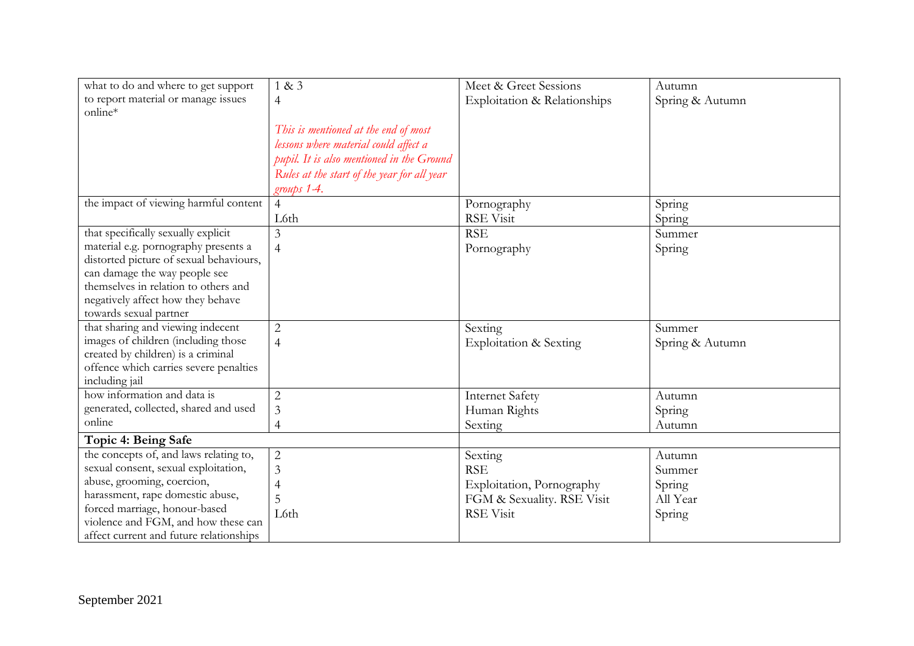| what to do and where to get support                         | 1 & 3                                       | Meet & Greet Sessions        | Autumn          |
|-------------------------------------------------------------|---------------------------------------------|------------------------------|-----------------|
| to report material or manage issues                         | $\overline{4}$                              | Exploitation & Relationships | Spring & Autumn |
| online*                                                     |                                             |                              |                 |
|                                                             | This is mentioned at the end of most        |                              |                 |
|                                                             | lessons where material could affect a       |                              |                 |
|                                                             | pupil. It is also mentioned in the Ground   |                              |                 |
|                                                             | Rules at the start of the year for all year |                              |                 |
|                                                             | groups 1-4.                                 |                              |                 |
| the impact of viewing harmful content                       | $\overline{4}$                              | Pornography                  | Spring          |
|                                                             | L6th                                        | <b>RSE Visit</b>             | Spring          |
| that specifically sexually explicit                         | 3                                           | <b>RSE</b>                   | Summer          |
| material e.g. pornography presents a                        | $\overline{4}$                              | Pornography                  | Spring          |
| distorted picture of sexual behaviours,                     |                                             |                              |                 |
| can damage the way people see                               |                                             |                              |                 |
| themselves in relation to others and                        |                                             |                              |                 |
| negatively affect how they behave                           |                                             |                              |                 |
| towards sexual partner<br>that sharing and viewing indecent | $\overline{2}$                              | Sexting                      | Summer          |
| images of children (including those                         |                                             |                              |                 |
| created by children) is a criminal                          | $\overline{4}$                              | Exploitation & Sexting       | Spring & Autumn |
| offence which carries severe penalties                      |                                             |                              |                 |
| including jail                                              |                                             |                              |                 |
| how information and data is                                 | $\overline{2}$                              | <b>Internet Safety</b>       | Autumn          |
| generated, collected, shared and used                       | 3                                           | Human Rights                 | Spring          |
| online                                                      | 4                                           | Sexting                      | Autumn          |
| Topic 4: Being Safe                                         |                                             |                              |                 |
| the concepts of, and laws relating to,                      | $\sqrt{2}$                                  | Sexting                      | Autumn          |
| sexual consent, sexual exploitation,                        | 3                                           | <b>RSE</b>                   | Summer          |
| abuse, grooming, coercion,                                  | $\overline{4}$                              | Exploitation, Pornography    | Spring          |
| harassment, rape domestic abuse,                            | 5                                           | FGM & Sexuality. RSE Visit   | All Year        |
| forced marriage, honour-based                               | L6th                                        | <b>RSE Visit</b>             | Spring          |
| violence and FGM, and how these can                         |                                             |                              |                 |
| affect current and future relationships                     |                                             |                              |                 |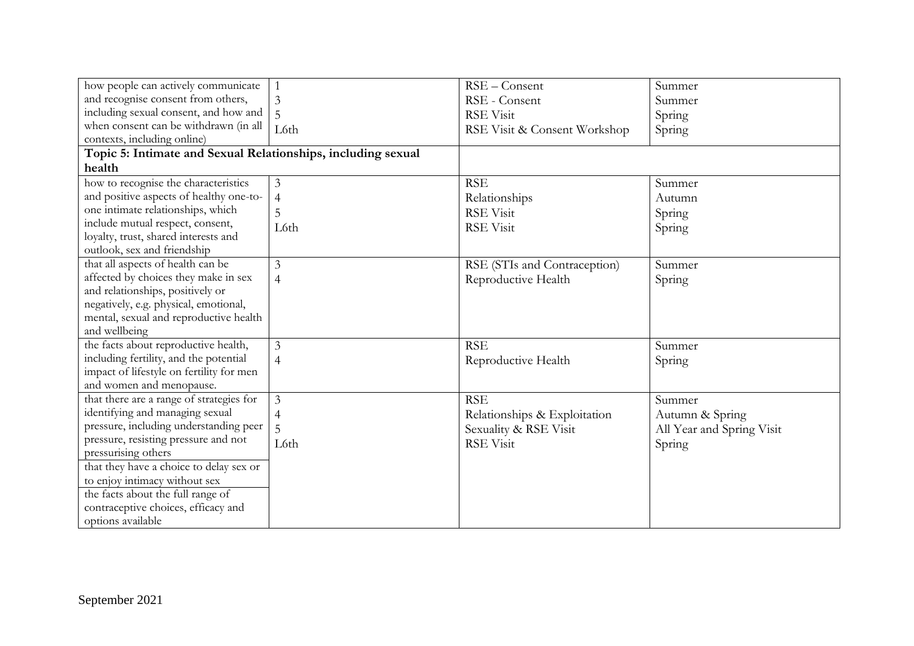| how people can actively communicate                          | $\mathbf{1}$   | RSE-Consent                  | Summer                    |
|--------------------------------------------------------------|----------------|------------------------------|---------------------------|
| and recognise consent from others,                           | 3              | RSE - Consent                | Summer                    |
| including sexual consent, and how and                        | 5              | <b>RSE Visit</b>             | Spring                    |
| when consent can be withdrawn (in all                        | L6th           | RSE Visit & Consent Workshop | Spring                    |
| contexts, including online)                                  |                |                              |                           |
| Topic 5: Intimate and Sexual Relationships, including sexual |                |                              |                           |
| health                                                       |                |                              |                           |
| how to recognise the characteristics                         | 3              | <b>RSE</b>                   | Summer                    |
| and positive aspects of healthy one-to-                      | $\overline{4}$ | Relationships                | Autumn                    |
| one intimate relationships, which                            | 5              | <b>RSE Visit</b>             | Spring                    |
| include mutual respect, consent,                             | L6th           | <b>RSE Visit</b>             | Spring                    |
| loyalty, trust, shared interests and                         |                |                              |                           |
| outlook, sex and friendship                                  |                |                              |                           |
| that all aspects of health can be                            | $\mathfrak{Z}$ | RSE (STIs and Contraception) | Summer                    |
| affected by choices they make in sex                         | $\overline{4}$ | Reproductive Health          | Spring                    |
| and relationships, positively or                             |                |                              |                           |
| negatively, e.g. physical, emotional,                        |                |                              |                           |
| mental, sexual and reproductive health                       |                |                              |                           |
| and wellbeing                                                |                |                              |                           |
| the facts about reproductive health,                         | 3              | <b>RSE</b>                   | Summer                    |
| including fertility, and the potential                       | $\overline{4}$ | Reproductive Health          | Spring                    |
| impact of lifestyle on fertility for men                     |                |                              |                           |
| and women and menopause.                                     |                |                              |                           |
| that there are a range of strategies for                     | 3              | <b>RSE</b>                   | Summer                    |
| identifying and managing sexual                              | $\overline{4}$ | Relationships & Exploitation | Autumn & Spring           |
| pressure, including understanding peer                       |                | Sexuality & RSE Visit        | All Year and Spring Visit |
| pressure, resisting pressure and not                         | L6th           | <b>RSE Visit</b>             | Spring                    |
| pressurising others                                          |                |                              |                           |
| that they have a choice to delay sex or                      |                |                              |                           |
| to enjoy intimacy without sex                                |                |                              |                           |
| the facts about the full range of                            |                |                              |                           |
| contraceptive choices, efficacy and                          |                |                              |                           |
| options available                                            |                |                              |                           |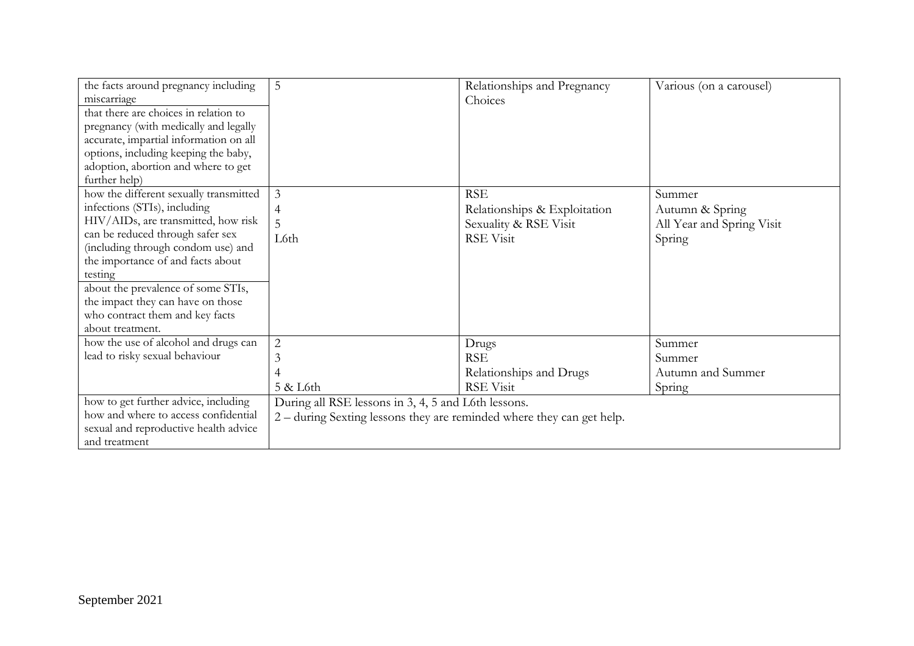| the facts around pregnancy including<br>miscarriage<br>that there are choices in relation to<br>pregnancy (with medically and legally<br>accurate, impartial information on all<br>options, including keeping the baby,<br>adoption, abortion and where to get<br>further help)                                                                                           | 5                                                                                                                            | Relationships and Pregnancy<br>Choices                                                  | Various (on a carousel)                                          |
|---------------------------------------------------------------------------------------------------------------------------------------------------------------------------------------------------------------------------------------------------------------------------------------------------------------------------------------------------------------------------|------------------------------------------------------------------------------------------------------------------------------|-----------------------------------------------------------------------------------------|------------------------------------------------------------------|
| how the different sexually transmitted<br>infections (STIs), including<br>HIV/AIDs, are transmitted, how risk<br>can be reduced through safer sex<br>(including through condom use) and<br>the importance of and facts about<br>testing<br>about the prevalence of some STIs,<br>the impact they can have on those<br>who contract them and key facts<br>about treatment. | 3<br>4<br>L6th                                                                                                               | <b>RSE</b><br>Relationships & Exploitation<br>Sexuality & RSE Visit<br><b>RSE Visit</b> | Summer<br>Autumn & Spring<br>All Year and Spring Visit<br>Spring |
| how the use of alcohol and drugs can<br>lead to risky sexual behaviour                                                                                                                                                                                                                                                                                                    | $\overline{2}$<br>3<br>4<br>$5 &$ L6th                                                                                       | Drugs<br><b>RSE</b><br>Relationships and Drugs<br>RSE Visit                             | Summer<br>Summer<br>Autumn and Summer<br>Spring                  |
| how to get further advice, including<br>how and where to access confidential<br>sexual and reproductive health advice<br>and treatment                                                                                                                                                                                                                                    | During all RSE lessons in 3, 4, 5 and L6th lessons.<br>2 – during Sexting lessons they are reminded where they can get help. |                                                                                         |                                                                  |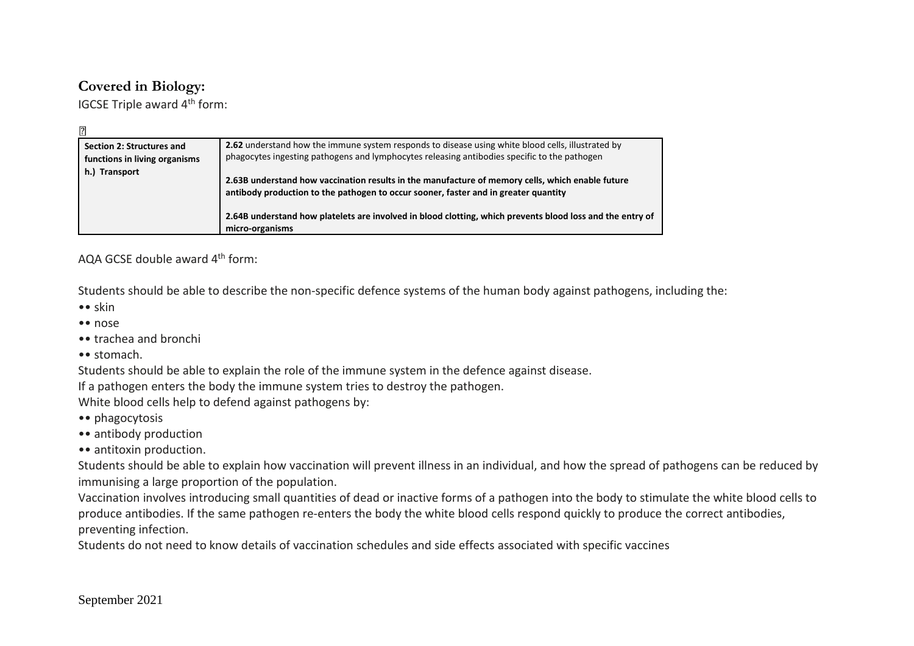## **Covered in Biology:**

IGCSE Triple award 4<sup>th</sup> form:

| $\mathbf{E}$                                               |                                                                                                                                                                                                   |
|------------------------------------------------------------|---------------------------------------------------------------------------------------------------------------------------------------------------------------------------------------------------|
| Section 2: Structures and<br>functions in living organisms | 2.62 understand how the immune system responds to disease using white blood cells, illustrated by<br>phagocytes ingesting pathogens and lymphocytes releasing antibodies specific to the pathogen |
| h.) Transport                                              | 2.63B understand how vaccination results in the manufacture of memory cells, which enable future<br>antibody production to the pathogen to occur sooner, faster and in greater quantity           |
|                                                            | 2.64B understand how platelets are involved in blood clotting, which prevents blood loss and the entry of<br>micro-organisms                                                                      |

AQA GCSE double award 4<sup>th</sup> form:

Students should be able to describe the non-specific defence systems of the human body against pathogens, including the:

- •• skin
- •• nose
- •• trachea and bronchi
- •• stomach.

Students should be able to explain the role of the immune system in the defence against disease.

If a pathogen enters the body the immune system tries to destroy the pathogen.

White blood cells help to defend against pathogens by:

- •• phagocytosis
- •• antibody production
- •• antitoxin production.

Students should be able to explain how vaccination will prevent illness in an individual, and how the spread of pathogens can be reduced by immunising a large proportion of the population.

Vaccination involves introducing small quantities of dead or inactive forms of a pathogen into the body to stimulate the white blood cells to produce antibodies. If the same pathogen re-enters the body the white blood cells respond quickly to produce the correct antibodies, preventing infection.

Students do not need to know details of vaccination schedules and side effects associated with specific vaccines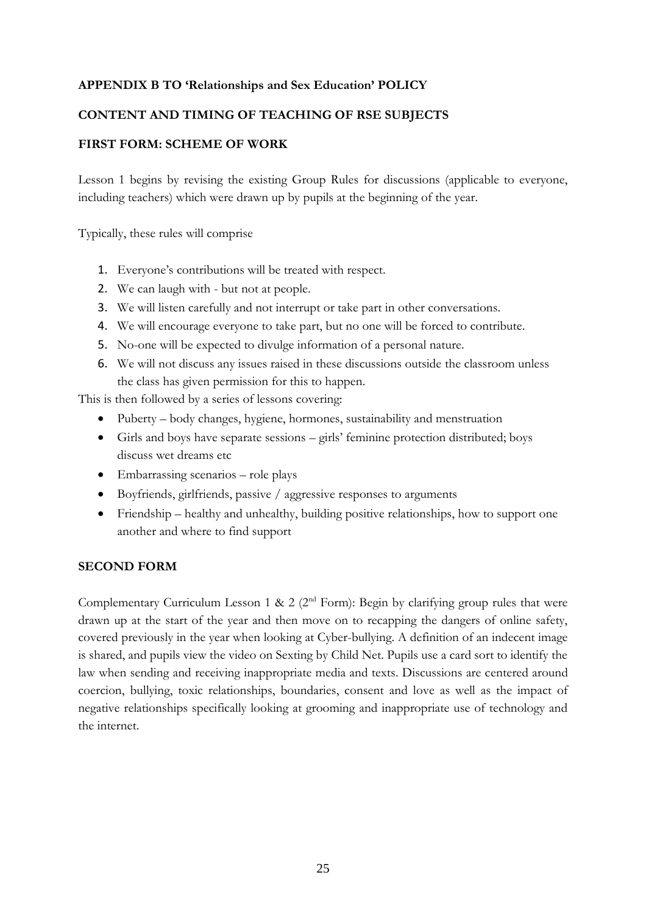#### **APPENDIX B TO 'Relationships and Sex Education' POLICY**

#### **CONTENT AND TIMING OF TEACHING OF RSE SUBJECTS**

#### **FIRST FORM: SCHEME OF WORK**

Lesson 1 begins by revising the existing Group Rules for discussions (applicable to everyone, including teachers) which were drawn up by pupils at the beginning of the year.

Typically, these rules will comprise

- 1. Everyone's contributions will be treated with respect.
- 2. We can laugh with but not at people.
- 3. We will listen carefully and not interrupt or take part in other conversations.
- 4. We will encourage everyone to take part, but no one will be forced to contribute.
- 5. No-one will be expected to divulge information of a personal nature.
- 6. We will not discuss any issues raised in these discussions outside the classroom unless the class has given permission for this to happen.

This is then followed by a series of lessons covering:

- Puberty body changes, hygiene, hormones, sustainability and menstruation
- Girls and boys have separate sessions girls' feminine protection distributed; boys discuss wet dreams etc
- Embarrassing scenarios role plays
- Boyfriends, girlfriends, passive / aggressive responses to arguments
- Friendship healthy and unhealthy, building positive relationships, how to support one another and where to find support

#### **SECOND FORM**

Complementary Curriculum Lesson 1 & 2 ( $2<sup>nd</sup>$  Form): Begin by clarifying group rules that were drawn up at the start of the year and then move on to recapping the dangers of online safety, covered previously in the year when looking at Cyber-bullying. A definition of an indecent image is shared, and pupils view the video on Sexting by Child Net. Pupils use a card sort to identify the law when sending and receiving inappropriate media and texts. Discussions are centered around coercion, bullying, toxic relationships, boundaries, consent and love as well as the impact of negative relationships specifically looking at grooming and inappropriate use of technology and the internet.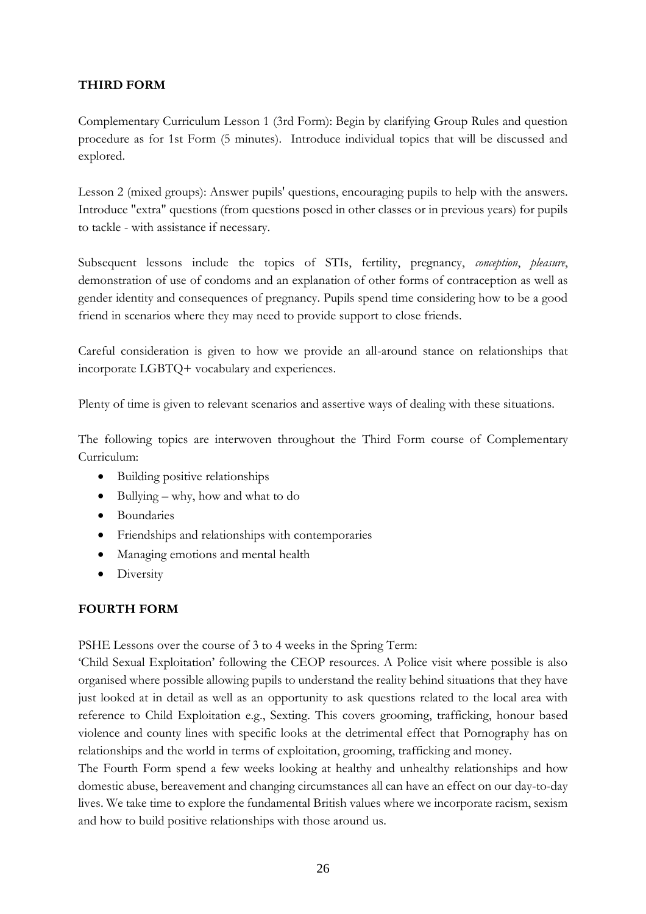## **THIRD FORM**

Complementary Curriculum Lesson 1 (3rd Form): Begin by clarifying Group Rules and question procedure as for 1st Form (5 minutes). Introduce individual topics that will be discussed and explored.

Lesson 2 (mixed groups): Answer pupils' questions, encouraging pupils to help with the answers. Introduce "extra" questions (from questions posed in other classes or in previous years) for pupils to tackle - with assistance if necessary.

Subsequent lessons include the topics of STIs, fertility, pregnancy, *conception*, *pleasure*, demonstration of use of condoms and an explanation of other forms of contraception as well as gender identity and consequences of pregnancy. Pupils spend time considering how to be a good friend in scenarios where they may need to provide support to close friends.

Careful consideration is given to how we provide an all-around stance on relationships that incorporate LGBTQ+ vocabulary and experiences.

Plenty of time is given to relevant scenarios and assertive ways of dealing with these situations.

The following topics are interwoven throughout the Third Form course of Complementary Curriculum:

- Building positive relationships
- Bullying why, how and what to do
- Boundaries
- Friendships and relationships with contemporaries
- Managing emotions and mental health
- Diversity

## **FOURTH FORM**

PSHE Lessons over the course of 3 to 4 weeks in the Spring Term:

'Child Sexual Exploitation' following the CEOP resources. A Police visit where possible is also organised where possible allowing pupils to understand the reality behind situations that they have just looked at in detail as well as an opportunity to ask questions related to the local area with reference to Child Exploitation e.g., Sexting. This covers grooming, trafficking, honour based violence and county lines with specific looks at the detrimental effect that Pornography has on relationships and the world in terms of exploitation, grooming, trafficking and money.

The Fourth Form spend a few weeks looking at healthy and unhealthy relationships and how domestic abuse, bereavement and changing circumstances all can have an effect on our day-to-day lives. We take time to explore the fundamental British values where we incorporate racism, sexism and how to build positive relationships with those around us.